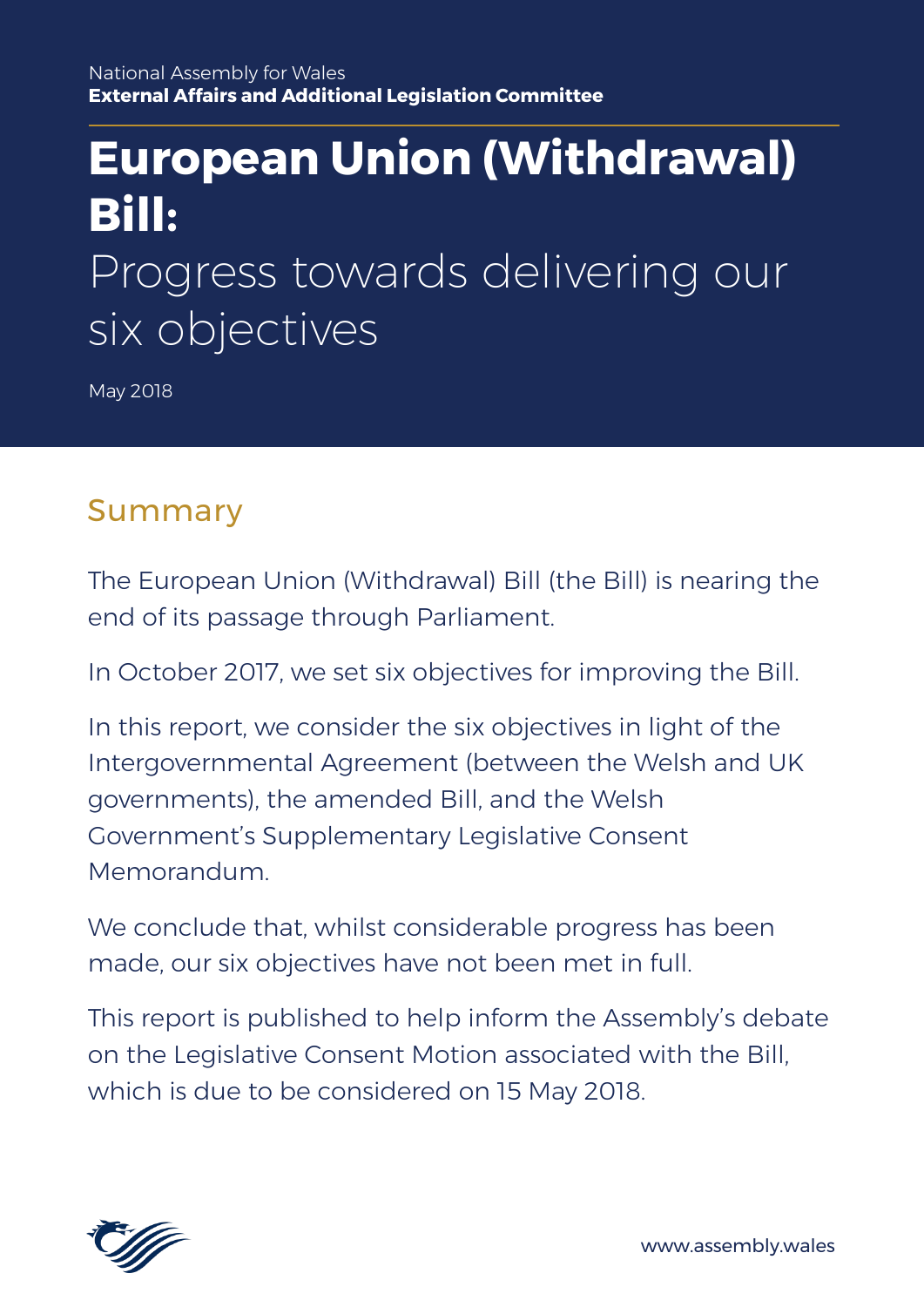# **European Union (Withdrawal) Bill:** Progress towards delivering our six objectives

May 2018

# Summary

The European Union (Withdrawal) Bill (the Bill) is nearing the end of its passage through Parliament.

In October 2017, we set six objectives for improving the Bill.

In this report, we consider the six objectives in light of the Intergovernmental Agreement (between the Welsh and UK governments), the amended Bill, and the Welsh Government's Supplementary Legislative Consent Memorandum.

We conclude that, whilst considerable progress has been made, our six objectives have not been met in full.

This report is published to help inform the Assembly's debate on the Legislative Consent Motion associated with the Bill, which is due to be considered on 15 May 2018.



www.assembly.wales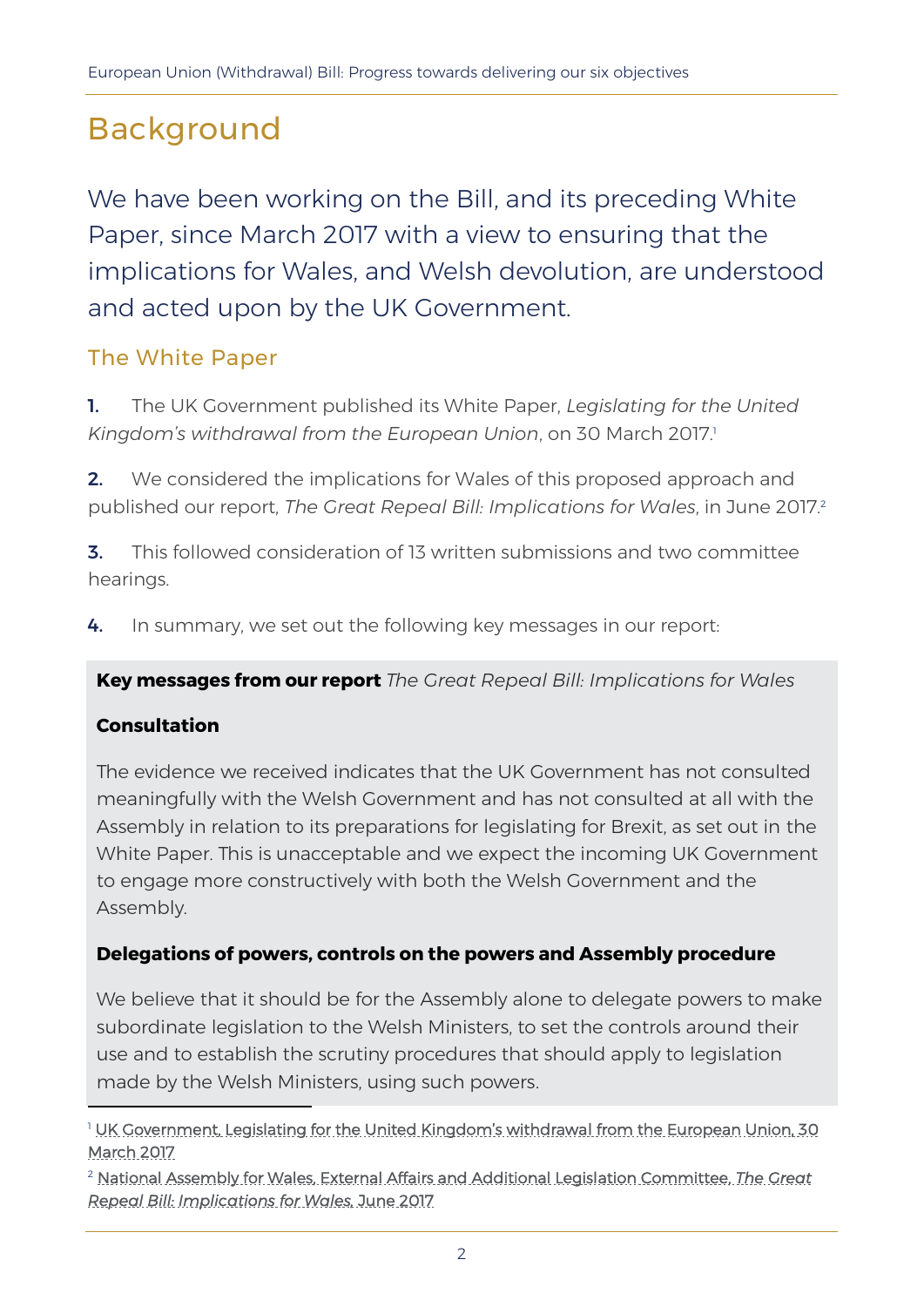# Background

We have been working on the Bill, and its preceding White Paper, since March 2017 with a view to ensuring that the implications for Wales, and Welsh devolution, are understood and acted upon by the UK Government.

#### The White Paper

- 1. The UK Government published its White Paper, *Legislating for the United*  Kingdom's withdrawal from the European Union, on 30 March 2017.<sup>1</sup>
- **2.** We considered the implications for Wales of this proposed approach and published our report, *The Great Repeal Bill: Implications for Wales*, in June 2017.<sup>2</sup>
- 3. This followed consideration of 13 written submissions and two committee hearings.
- 4. In summary, we set out the following key messages in our report:

**Key messages from our report** *The Great Repeal Bill: Implications for Wales*

#### **Consultation**

 $\overline{a}$ 

The evidence we received indicates that the UK Government has not consulted meaningfully with the Welsh Government and has not consulted at all with the Assembly in relation to its preparations for legislating for Brexit, as set out in the White Paper. This is unacceptable and we expect the incoming UK Government to engage more constructively with both the Welsh Government and the Assembly.

#### **Delegations of powers, controls on the powers and Assembly procedure**

We believe that it should be for the Assembly alone to delegate powers to make subordinate legislation to the Welsh Ministers, to set the controls around their use and to establish the scrutiny procedures that should apply to legislation made by the Welsh Ministers, using such powers.

<sup>&</sup>lt;sup>1</sup> [UK Government, Legislating for the United Kingdom's withdrawa](https://www.gov.uk/government/publications/the-repeal-bill-white-paper/legislating-for-the-united-kingdoms-withdrawal-from-the-european-union)l from the European Union, 30 [March 2017](https://www.gov.uk/government/publications/the-repeal-bill-white-paper/legislating-for-the-united-kingdoms-withdrawal-from-the-european-union)

<sup>2</sup> [National Assembly for Wales, External Affairs and Additional Legislation Committee,](http://senedd.assembly.wales/documents/s64060/Report%20-%20Great%20Repeal%20Bill%20White%20Paper%20Implications%20for%20Wales.pdf) *The Great [Repeal Bill: Implications for Wales,](http://senedd.assembly.wales/documents/s64060/Report%20-%20Great%20Repeal%20Bill%20White%20Paper%20Implications%20for%20Wales.pdf)* June 2017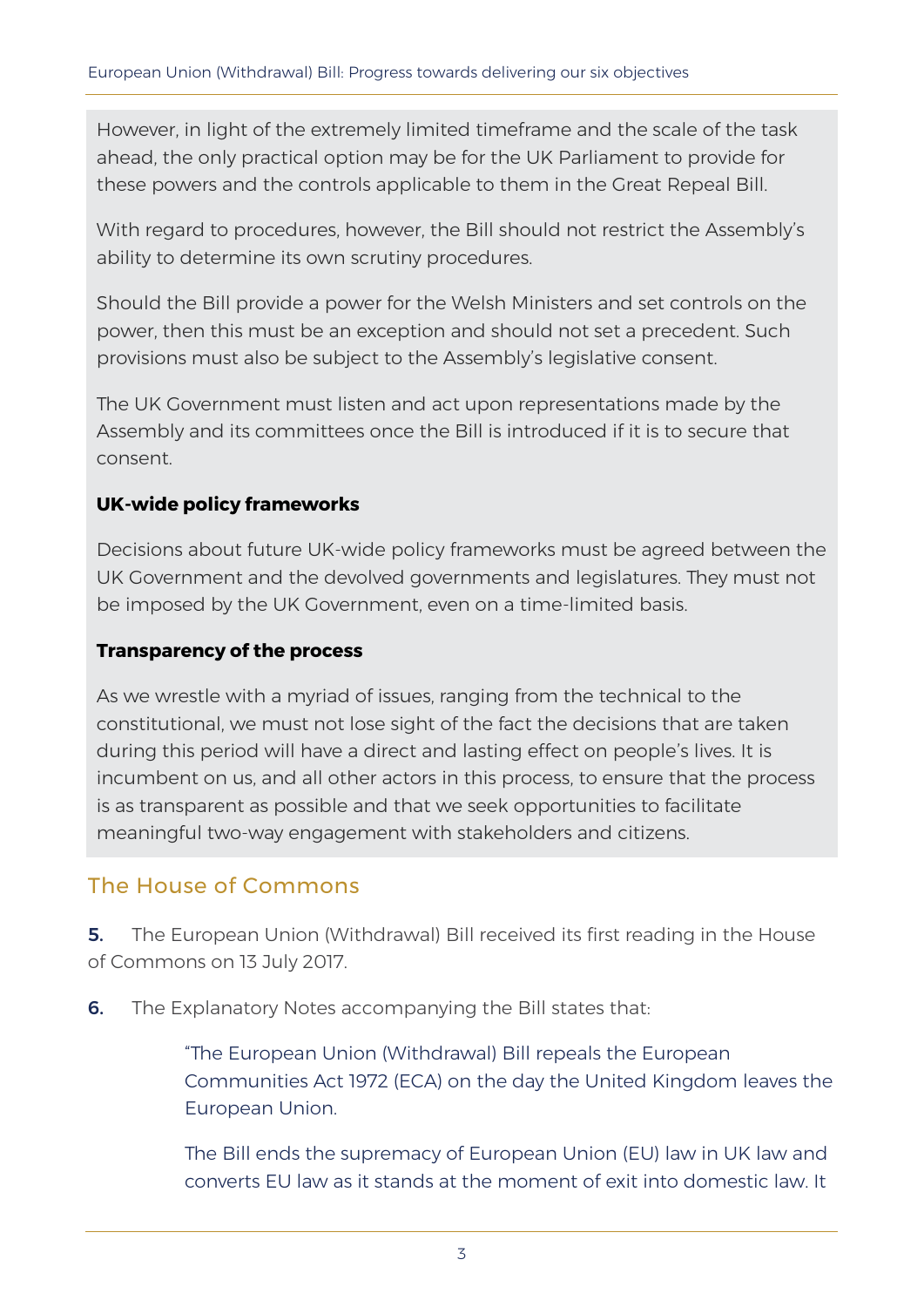However, in light of the extremely limited timeframe and the scale of the task ahead, the only practical option may be for the UK Parliament to provide for these powers and the controls applicable to them in the Great Repeal Bill.

With regard to procedures, however, the Bill should not restrict the Assembly's ability to determine its own scrutiny procedures.

Should the Bill provide a power for the Welsh Ministers and set controls on the power, then this must be an exception and should not set a precedent. Such provisions must also be subject to the Assembly's legislative consent.

The UK Government must listen and act upon representations made by the Assembly and its committees once the Bill is introduced if it is to secure that consent.

#### **UK-wide policy frameworks**

Decisions about future UK-wide policy frameworks must be agreed between the UK Government and the devolved governments and legislatures. They must not be imposed by the UK Government, even on a time-limited basis.

#### **Transparency of the process**

As we wrestle with a myriad of issues, ranging from the technical to the constitutional, we must not lose sight of the fact the decisions that are taken during this period will have a direct and lasting effect on people's lives. It is incumbent on us, and all other actors in this process, to ensure that the process is as transparent as possible and that we seek opportunities to facilitate meaningful two-way engagement with stakeholders and citizens.

#### The House of Commons

**5.** The European Union (Withdrawal) Bill received its first reading in the House of Commons on 13 July 2017.

**6.** The Explanatory Notes accompanying the Bill states that:

"The European Union (Withdrawal) Bill repeals the European Communities Act 1972 (ECA) on the day the United Kingdom leaves the European Union.

The Bill ends the supremacy of European Union (EU) law in UK law and converts EU law as it stands at the moment of exit into domestic law. It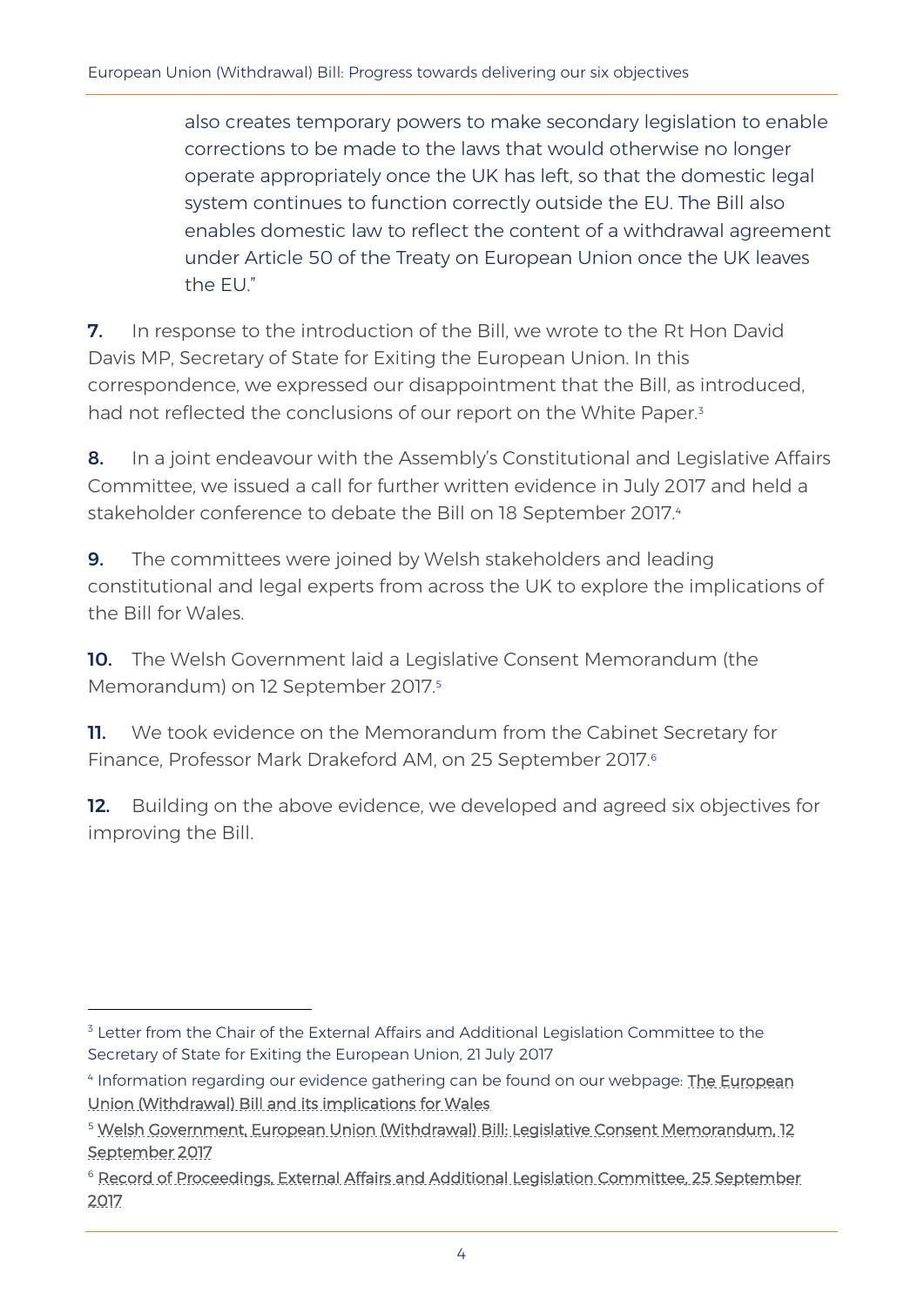also creates temporary powers to make secondary legislation to enable corrections to be made to the laws that would otherwise no longer operate appropriately once the UK has left, so that the domestic legal system continues to function correctly outside the EU. The Bill also enables domestic law to reflect the content of a withdrawal agreement under Article 50 of the Treaty on European Union once the UK leaves the EU."

7. In response to the introduction of the Bill, we wrote to the Rt Hon David Davis MP, Secretary of State for Exiting the European Union. In this correspondence, we expressed our disappointment that the Bill, as introduced, had not reflected the conclusions of our report on the White Paper.<sup>3</sup>

8. In a joint endeavour with the Assembly's Constitutional and Legislative Affairs Committee, we issued a call for further written evidence in July 2017 and held a stakeholder conference to debate the Bill on 18 September 2017.4

**9.** The committees were joined by Welsh stakeholders and leading constitutional and legal experts from across the UK to explore the implications of the Bill for Wales.

10. The Welsh Government laid a Legislative Consent Memorandum (the Memorandum) on 12 September 2017.<sup>5</sup>

**11.** We took evidence on the Memorandum from the Cabinet Secretary for Finance, Professor Mark Drakeford AM, on 25 September 2017.<sup>6</sup>

12. Building on the above evidence, we developed and agreed six objectives for improving the Bill.

<sup>&</sup>lt;sup>3</sup> Letter from the Chair of the External Affairs and Additional Legislation Committee to the Secretary of State for Exiting the European Union, 21 July 2017

<sup>&</sup>lt;sup>4</sup> Information regarding our evidence gathering can be found on our webpage: The European [Union \(Withdrawal\) Bill and its implications for Wales](http://senedd.assembly.wales/mgIssueHistoryHome.aspx?IId=15915)

<sup>5</sup> [Welsh Government, European Union \(Withdrawal\) Bill: Legislative Consent Memorandum, 12](http://www.assembly.wales/laid%20documents/lcm-ld11177/lcm-ld11177-e.pdf)  [September 2017](http://www.assembly.wales/laid%20documents/lcm-ld11177/lcm-ld11177-e.pdf)

<sup>&</sup>lt;sup>6</sup> Record of Proceedings, External Affairs and Additional Legislation Committee, 25 September [2017](http://senedd.assembly.wales/documents/s66730/25%20September%202017.html?CT=2)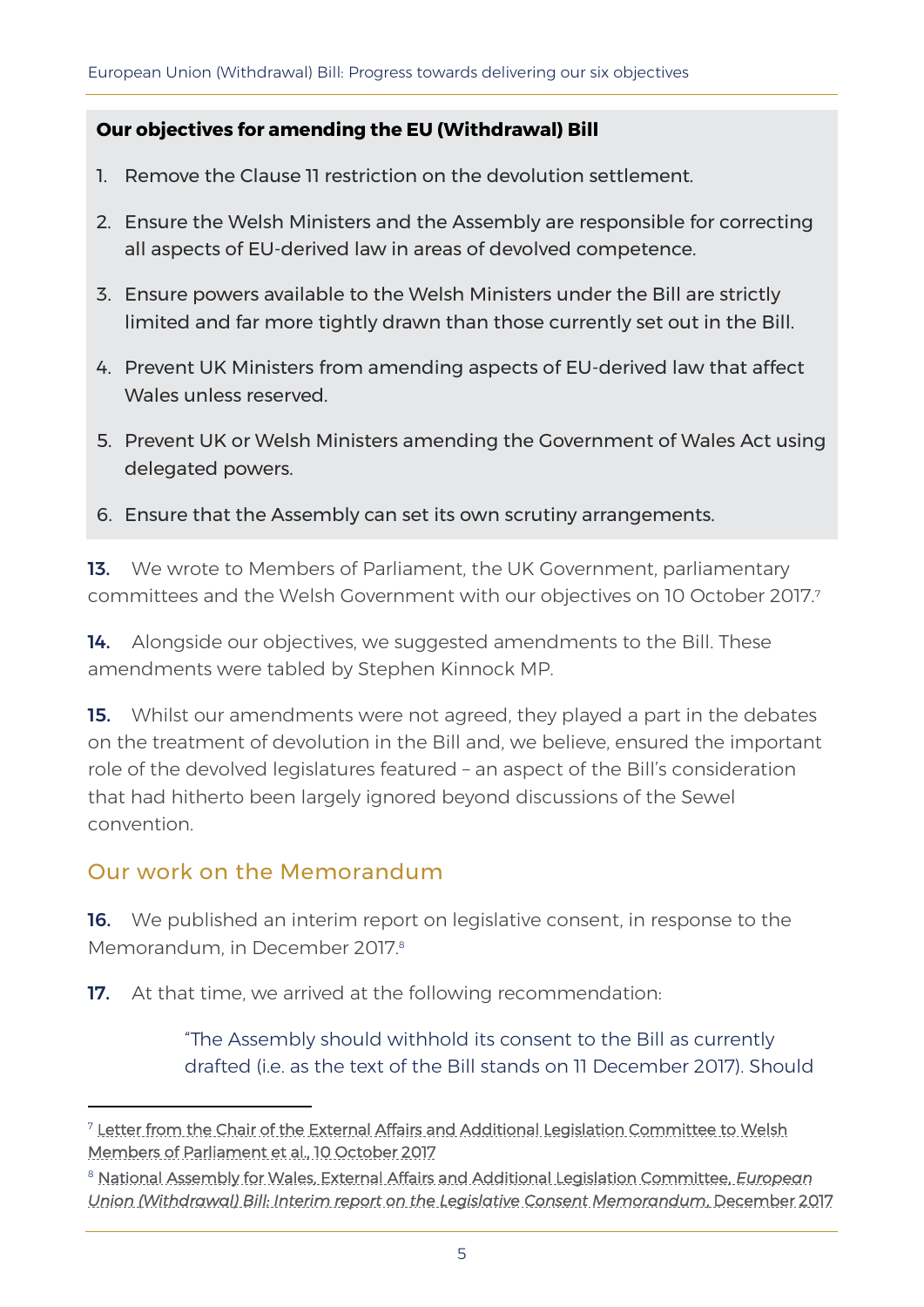#### **Our objectives for amending the EU (Withdrawal) Bill**

- 1. Remove the Clause 11 restriction on the devolution settlement.
- 2. Ensure the Welsh Ministers and the Assembly are responsible for correcting all aspects of EU-derived law in areas of devolved competence.
- 3. Ensure powers available to the Welsh Ministers under the Bill are strictly limited and far more tightly drawn than those currently set out in the Bill.
- 4. Prevent UK Ministers from amending aspects of EU-derived law that affect Wales unless reserved.
- 5. Prevent UK or Welsh Ministers amending the Government of Wales Act using delegated powers.
- 6. Ensure that the Assembly can set its own scrutiny arrangements.

13. We wrote to Members of Parliament, the UK Government, parliamentary committees and the Welsh Government with our objectives on 10 October 2017.<sup>7</sup>

14. Alongside our objectives, we suggested amendments to the Bill. These amendments were tabled by Stephen Kinnock MP.

**15.** Whilst our amendments were not agreed, they played a part in the debates on the treatment of devolution in the Bill and, we believe, ensured the important role of the devolved legislatures featured – an aspect of the Bill's consideration that had hitherto been largely ignored beyond discussions of the Sewel convention.

#### Our work on the Memorandum

-

**16.** We published an interim report on legislative consent, in response to the Memorandum, in December 2017.<sup>8</sup>

**17.** At that time, we arrived at the following recommendation:

"The Assembly should withhold its consent to the Bill as currently drafted (i.e. as the text of the Bill stands on 11 December 2017). Should

<sup>7</sup> [Letter from the Chair of the External Affairs and Additional Legislation Committee to Welsh](http://senedd.assembly.wales/documents/s67197/Letter%20from%20the%20Chair%20to%20all%20Welsh%20MPs%20on%20the%20EU%20Withdrawal%20Bill%20-%2010%20October%202017.pdf)  [Members of Parliament et al., 10 October 2017](http://senedd.assembly.wales/documents/s67197/Letter%20from%20the%20Chair%20to%20all%20Welsh%20MPs%20on%20the%20EU%20Withdrawal%20Bill%20-%2010%20October%202017.pdf)

<sup>8</sup> [National Assembly for Wales, External Affairs and Additional Legislation Committee,](http://www.assembly.wales/laid%20documents/cr-ld11332/cr-ld11332-e.pdf) *European [Union \(Withdrawal\) Bill: Interim report on the Legislative Consent Memorandum](http://www.assembly.wales/laid%20documents/cr-ld11332/cr-ld11332-e.pdf)*, December 2017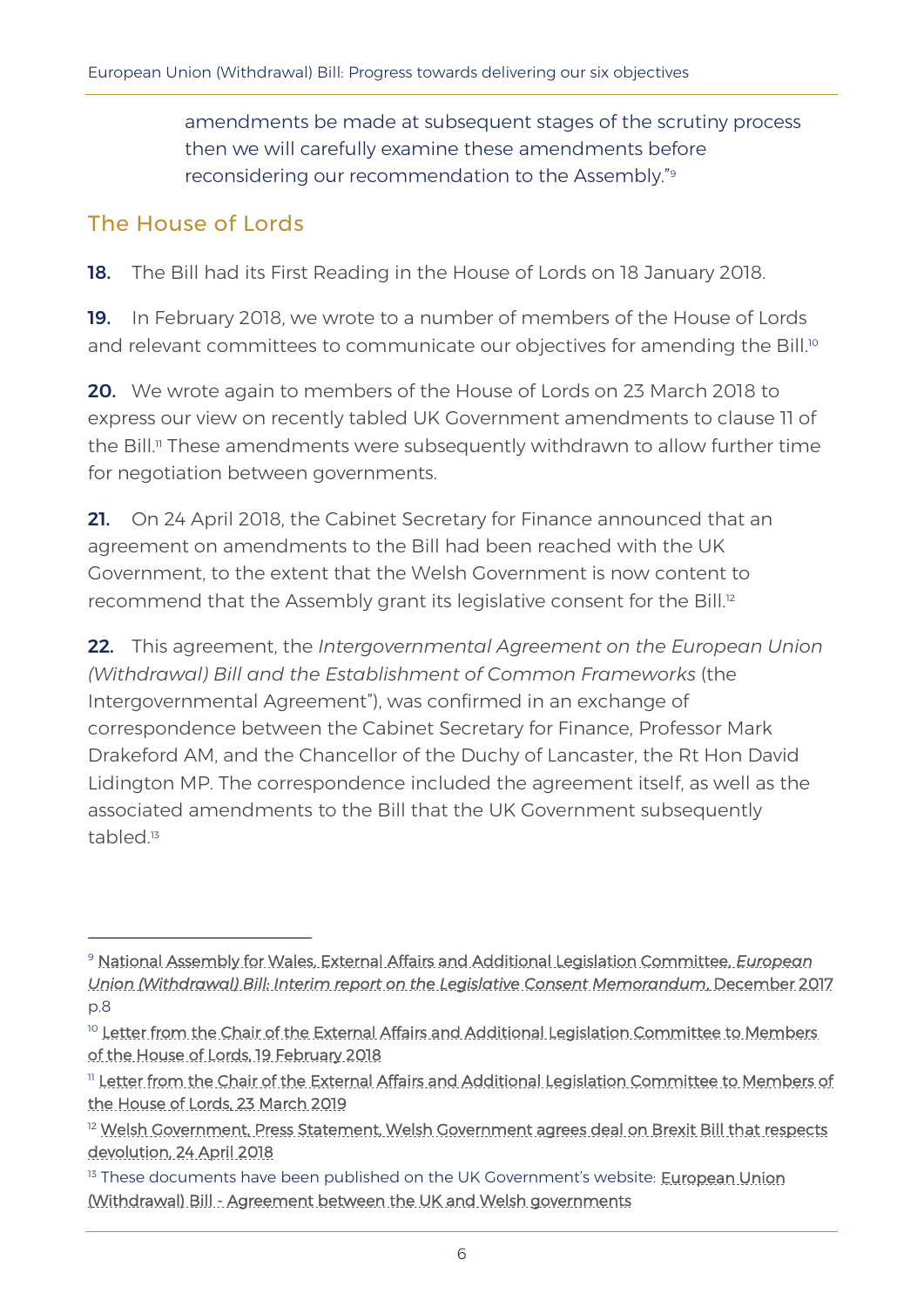amendments be made at subsequent stages of the scrutiny process then we will carefully examine these amendments before reconsidering our recommendation to the Assembly." 9

#### The House of Lords

-

18. The Bill had its First Reading in the House of Lords on 18 January 2018.

19. In February 2018, we wrote to a number of members of the House of Lords and relevant committees to communicate our objectives for amending the Bill.<sup>10</sup>

20. We wrote again to members of the House of Lords on 23 March 2018 to express our view on recently tabled UK Government amendments to clause 11 of the Bill.<sup>11</sup> These amendments were subsequently withdrawn to allow further time for negotiation between governments.

21. On 24 April 2018, the Cabinet Secretary for Finance announced that an agreement on amendments to the Bill had been reached with the UK Government, to the extent that the Welsh Government is now content to recommend that the Assembly grant its legislative consent for the Bill.<sup>12</sup>

22. This agreement, the *Intergovernmental Agreement on the European Union (Withdrawal) Bill and the Establishment of Common Frameworks* (the Intergovernmental Agreement"), was confirmed in an exchange of correspondence between the Cabinet Secretary for Finance, Professor Mark Drakeford AM, and the Chancellor of the Duchy of Lancaster, the Rt Hon David Lidington MP. The correspondence included the agreement itself, as well as the associated amendments to the Bill that the UK Government subsequently tabled. 13

<sup>13</sup> These documents have been published on the UK Government's website: **European Union** [\(Withdrawal\) Bill - Agreement between the UK and Welsh governments](https://www.gov.uk/government/collections/european-union-withdrawal-bill-agreement-between-the-uk-and-welsh-governments)

<sup>9</sup> [National Assembly for Wales, External Affairs and Additional Legislation Committee,](http://www.assembly.wales/laid%20documents/cr-ld11332/cr-ld11332-e.pdf) *European [Union \(Withdrawal\) Bill: Interim report on the Legislative Consent Memorandum](http://www.assembly.wales/laid%20documents/cr-ld11332/cr-ld11332-e.pdf)*, December 2017 p.8

<sup>&</sup>lt;sup>10</sup> Letter from the Chair of the External Affairs and Additional Legislation Committee to Members [of the House of Lords, 19 February 2018](http://senedd.assembly.wales/documents/s74253/Letter%20to%20Members%20of%20the%20House%20of%20Lords%20regarding%20EU%20Withdrawal%20Bill%20-%2019%20February%202018.pdf)

<sup>&</sup>lt;sup>11</sup> Letter from the Chair of the External Affairs and Additional Legislation Committee to Members of [the House of Lords, 23 March 2019](http://senedd.assembly.wales/documents/s74252/Letter%20to%20Members%20of%20the%20House%20of%20Lords%20regarding%20Clause%2011%20changes%20-%2023%20March%202018.pdf)

<sup>&</sup>lt;sup>12</sup> Welsh Government, Press Statement, Welsh Government agrees deal on Brexit Bill that respects [devolution, 24 April 2018](https://gov.wales/newsroom/finance1/2018/item/?lang=en)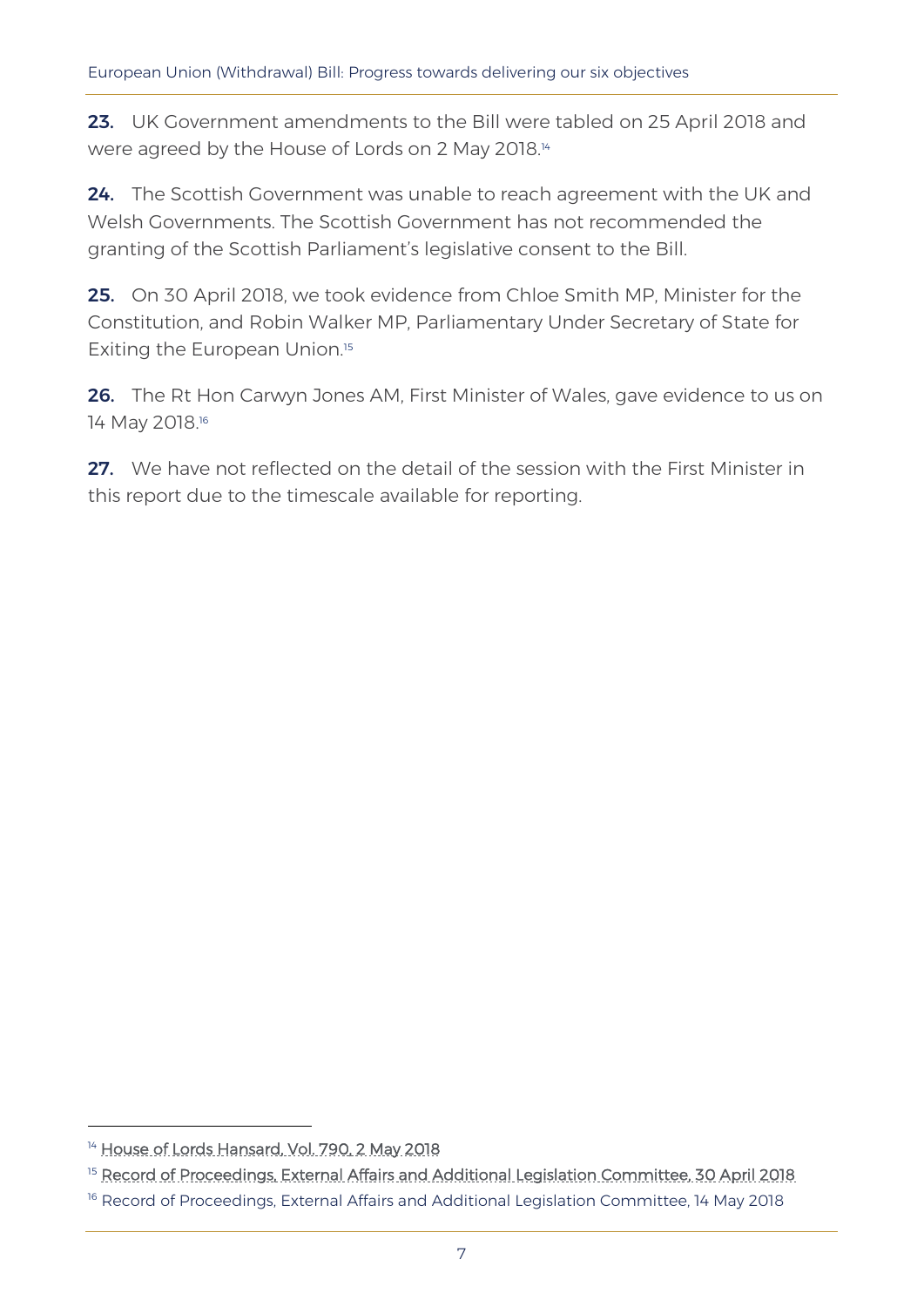23. UK Government amendments to the Bill were tabled on 25 April 2018 and were agreed by the House of Lords on 2 May 2018.<sup>14</sup>

24. The Scottish Government was unable to reach agreement with the UK and Welsh Governments. The Scottish Government has not recommended the granting of the Scottish Parliament's legislative consent to the Bill.

25. On 30 April 2018, we took evidence from Chloe Smith MP, Minister for the Constitution, and Robin Walker MP, Parliamentary Under Secretary of State for Exiting the European Union.<sup>15</sup>

26. The Rt Hon Carwyn Jones AM, First Minister of Wales, gave evidence to us on 14 May 2018.<sup>16</sup>

27. We have not reflected on the detail of the session with the First Minister in this report due to the timescale available for reporting.

<sup>&</sup>lt;sup>14</sup> [House of Lords Hansard, Vol. 790, 2 May 2018](https://hansard.parliament.uk/Lords/2018-05-02/debates/28839055-F2B2-497C-A4DF-D797224BC747/EuropeanUnion(Withdrawal)Bill)

<sup>&</sup>lt;sup>15</sup> [Record of Proceedings, External Affairs and Additional Legislation Committee, 30 April 2018](http://record.assembly.wales/Committee/4776)

<sup>&</sup>lt;sup>16</sup> Record of Proceedings, External Affairs and Additional Legislation Committee, 14 May 2018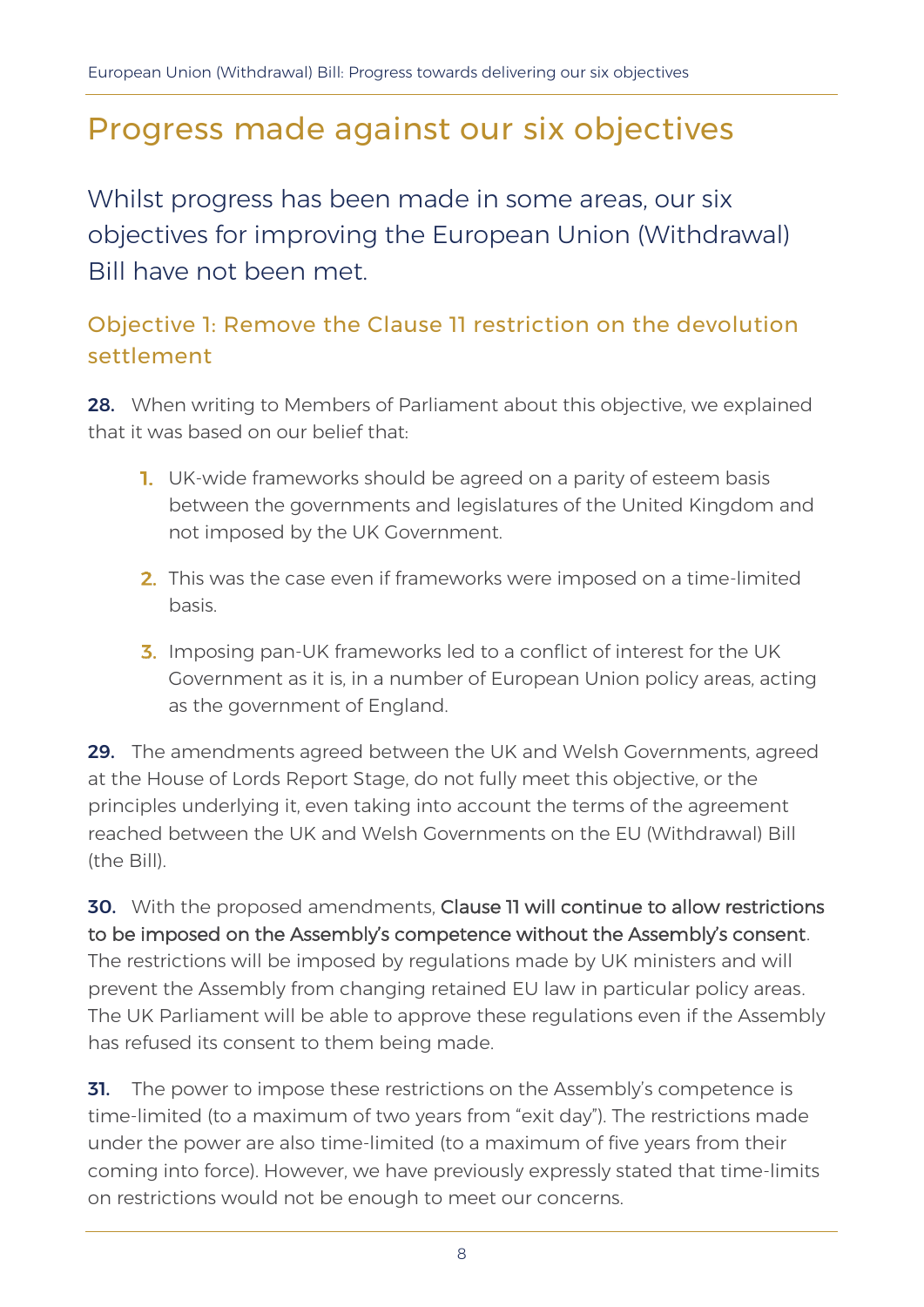# Progress made against our six objectives

Whilst progress has been made in some areas, our six objectives for improving the European Union (Withdrawal) Bill have not been met.

# Objective 1: Remove the Clause 11 restriction on the devolution settlement

28. When writing to Members of Parliament about this objective, we explained that it was based on our belief that:

- **1.** UK-wide frameworks should be agreed on a parity of esteem basis between the governments and legislatures of the United Kingdom and not imposed by the UK Government.
- 2. This was the case even if frameworks were imposed on a time-limited basis.
- **3.** Imposing pan-UK frameworks led to a conflict of interest for the UK Government as it is, in a number of European Union policy areas, acting as the government of England.

29. The amendments agreed between the UK and Welsh Governments, agreed at the House of Lords Report Stage, do not fully meet this objective, or the principles underlying it, even taking into account the terms of the agreement reached between the UK and Welsh Governments on the EU (Withdrawal) Bill (the Bill).

30. With the proposed amendments, Clause 11 will continue to allow restrictions to be imposed on the Assembly's competence without the Assembly's consent. The restrictions will be imposed by regulations made by UK ministers and will prevent the Assembly from changing retained EU law in particular policy areas. The UK Parliament will be able to approve these regulations even if the Assembly has refused its consent to them being made.

**31.** The power to impose these restrictions on the Assembly's competence is time-limited (to a maximum of two years from "exit day"). The restrictions made under the power are also time-limited (to a maximum of five years from their coming into force). However, we have previously expressly stated that time-limits on restrictions would not be enough to meet our concerns.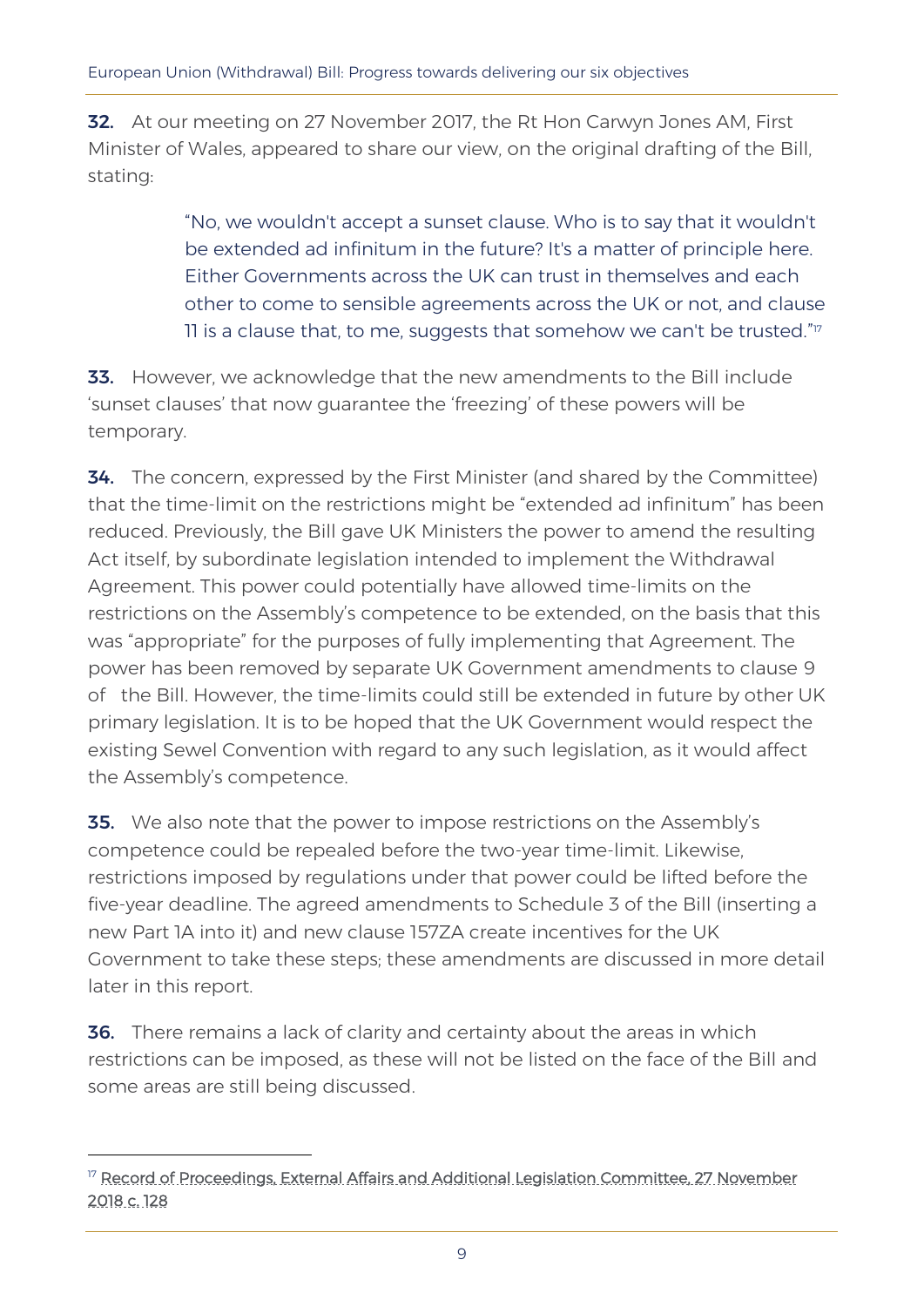**32.** At our meeting on 27 November 2017, the Rt Hon Carwyn Jones AM, First Minister of Wales, appeared to share our view, on the original drafting of the Bill, stating:

> "No, we wouldn't accept a sunset clause. Who is to say that it wouldn't be extended ad infinitum in the future? It's a matter of principle here. Either Governments across the UK can trust in themselves and each other to come to sensible agreements across the UK or not, and clause 11 is a clause that, to me, suggests that somehow we can't be trusted." $^{\eta}\!$

33. However, we acknowledge that the new amendments to the Bill include 'sunset clauses' that now guarantee the 'freezing' of these powers will be temporary.

**34.** The concern, expressed by the First Minister (and shared by the Committee) that the time-limit on the restrictions might be "extended ad infinitum" has been reduced. Previously, the Bill gave UK Ministers the power to amend the resulting Act itself, by subordinate legislation intended to implement the Withdrawal Agreement. This power could potentially have allowed time-limits on the restrictions on the Assembly's competence to be extended, on the basis that this was "appropriate" for the purposes of fully implementing that Agreement. The power has been removed by separate UK Government amendments to clause 9 of the Bill. However, the time-limits could still be extended in future by other UK primary legislation. It is to be hoped that the UK Government would respect the existing Sewel Convention with regard to any such legislation, as it would affect the Assembly's competence.

**35.** We also note that the power to impose restrictions on the Assembly's competence could be repealed before the two-year time-limit. Likewise, restrictions imposed by regulations under that power could be lifted before the five-year deadline. The agreed amendments to Schedule 3 of the Bill (inserting a new Part 1A into it) and new clause 157ZA create incentives for the UK Government to take these steps; these amendments are discussed in more detail later in this report.

**36.** There remains a lack of clarity and certainty about the areas in which restrictions can be imposed, as these will not be listed on the face of the Bill and some areas are still being discussed.

<sup>&</sup>lt;sup>17</sup> Record of Proceedings, External Affairs and Additional Legislation Committee, 27 November [2018 c. 128](http://record.assembly.wales/Committee/4889)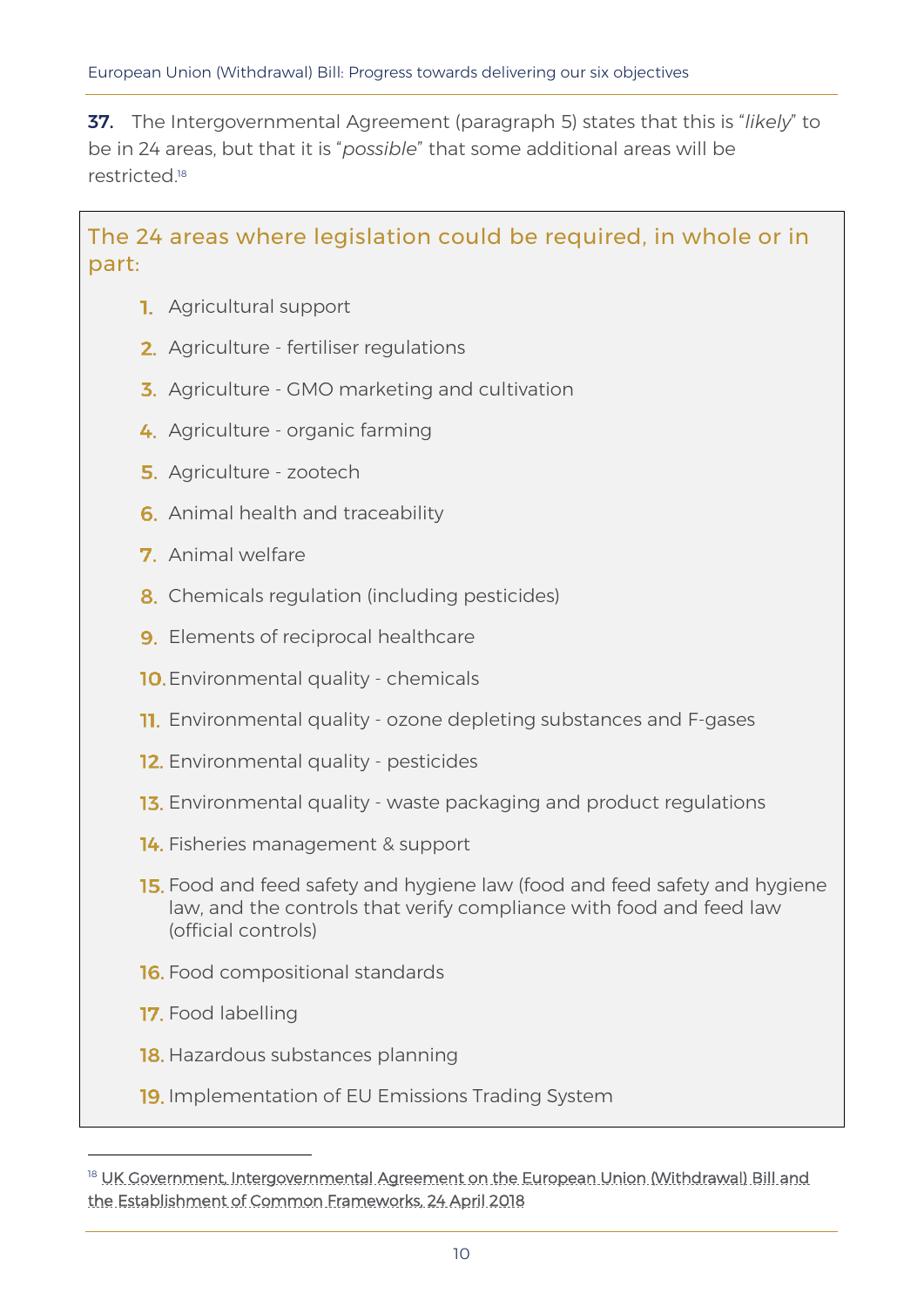37. The Intergovernmental Agreement (paragraph 5) states that this is "*likely*" to be in 24 areas, but that it is "*possible*" that some additional areas will be restricted.<sup>18</sup>

The 24 areas where legislation could be required, in whole or in part:

- **1.** Agricultural support
- 2. Agriculture fertiliser regulations
- 3. Agriculture GMO marketing and cultivation
- 4. Agriculture organic farming
- **5.** Agriculture zootech
- **6.** Animal health and traceability
- **7** Animal welfare
- 8. Chemicals regulation (including pesticides)
- **9.** Elements of reciprocal healthcare
- 10. Environmental quality chemicals
- **11.** Environmental quality ozone depleting substances and F-gases
- 12. Environmental quality pesticides
- 13. Environmental quality waste packaging and product regulations
- 14. Fisheries management & support
- **15.** Food and feed safety and hygiene law (food and feed safety and hygiene law, and the controls that verify compliance with food and feed law (official controls)
- **16.** Food compositional standards
- **17.** Food labelling

- 18. Hazardous substances planning
- **19.** Implementation of EU Emissions Trading System

<sup>&</sup>lt;sup>18</sup> UK Government, Intergovernmental Agreement on the European Union (Withdrawal) Bill and [the Establishment of Common Frameworks, 24 April 2018](https://assets.publishing.service.gov.uk/government/uploads/system/uploads/attachment_data/file/702623/2018-04-24_UKG-DA_IGA_and_Memorandum.pdf)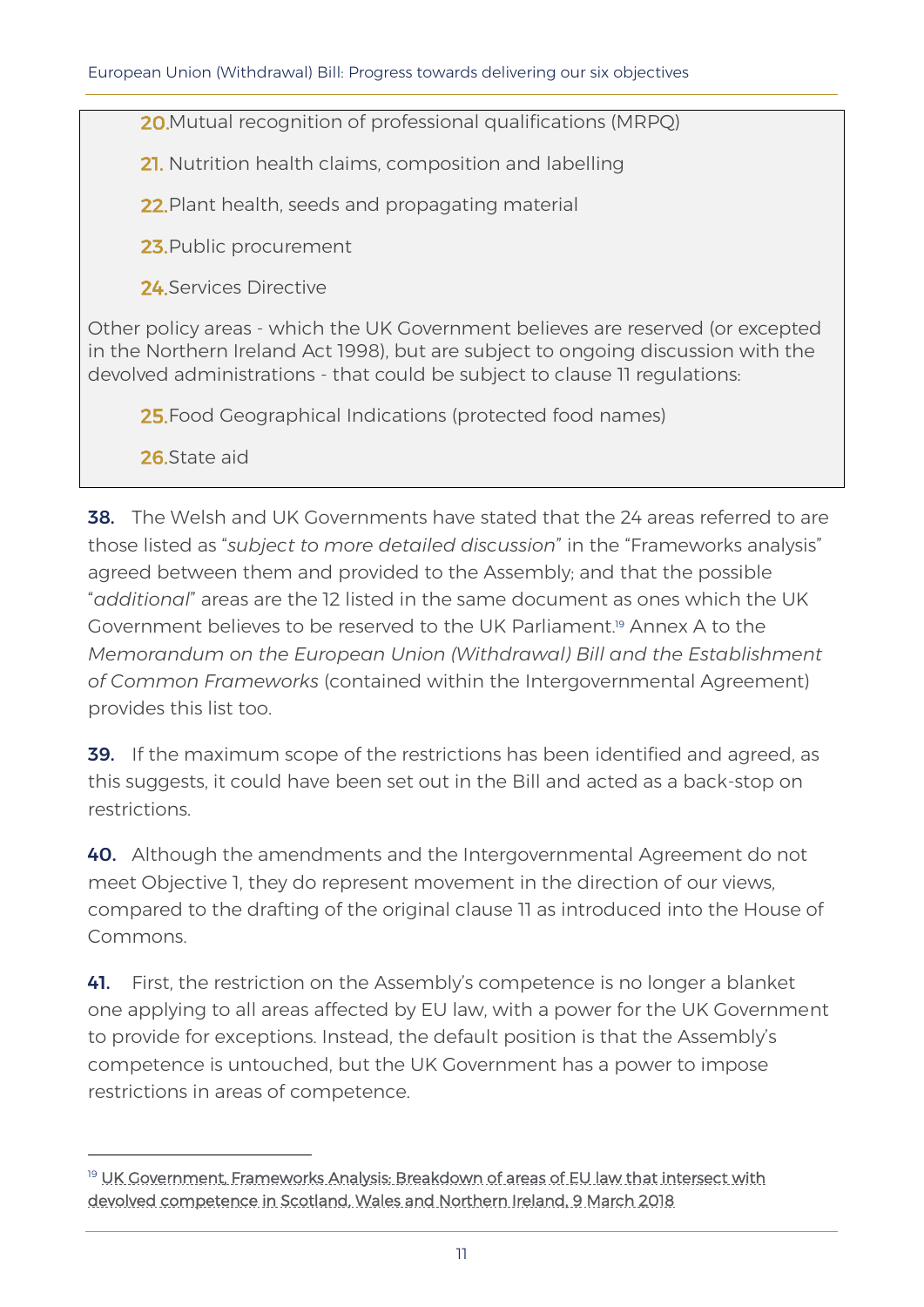20. Mutual recognition of professional qualifications (MRPQ)

21. Nutrition health claims, composition and labelling

22. Plant health, seeds and propagating material

23. Public procurement

24 Services Directive

Other policy areas - which the UK Government believes are reserved (or excepted in the Northern Ireland Act 1998), but are subject to ongoing discussion with the devolved administrations - that could be subject to clause 11 regulations:

25. Food Geographical Indications (protected food names)

26 State aid

-

**38.** The Welsh and UK Governments have stated that the 24 areas referred to are those listed as "*subject to more detailed discussion*" in the "Frameworks analysis" agreed between them and provided to the Assembly; and that the possible "*additional*" areas are the 12 listed in the same document as ones which the UK Government believes to be reserved to the UK Parliament.<sup>19</sup> Annex A to the *Memorandum on the European Union (Withdrawal) Bill and the Establishment of Common Frameworks* (contained within the Intergovernmental Agreement) provides this list too.

39. If the maximum scope of the restrictions has been identified and agreed, as this suggests, it could have been set out in the Bill and acted as a back-stop on restrictions.

40. Although the amendments and the Intergovernmental Agreement do not meet Objective 1, they do represent movement in the direction of our views, compared to the drafting of the original clause 11 as introduced into the House of Commons.

41. First, the restriction on the Assembly's competence is no longer a blanket one applying to all areas affected by EU law, with a power for the UK Government to provide for exceptions. Instead, the default position is that the Assembly's competence is untouched, but the UK Government has a power to impose restrictions in areas of competence.

<sup>&</sup>lt;sup>19</sup> UK Government, Frameworks Analysis: Breakdown of areas of EU law that intersect with [devolved competence in Scotland, Wales and Northern Ireland, 9 March 2018](https://assets.publishing.service.gov.uk/government/uploads/system/uploads/attachment_data/file/686991/20180307_FINAL__Frameworks_analysis_for_publication_on_9_March_2018.pdf)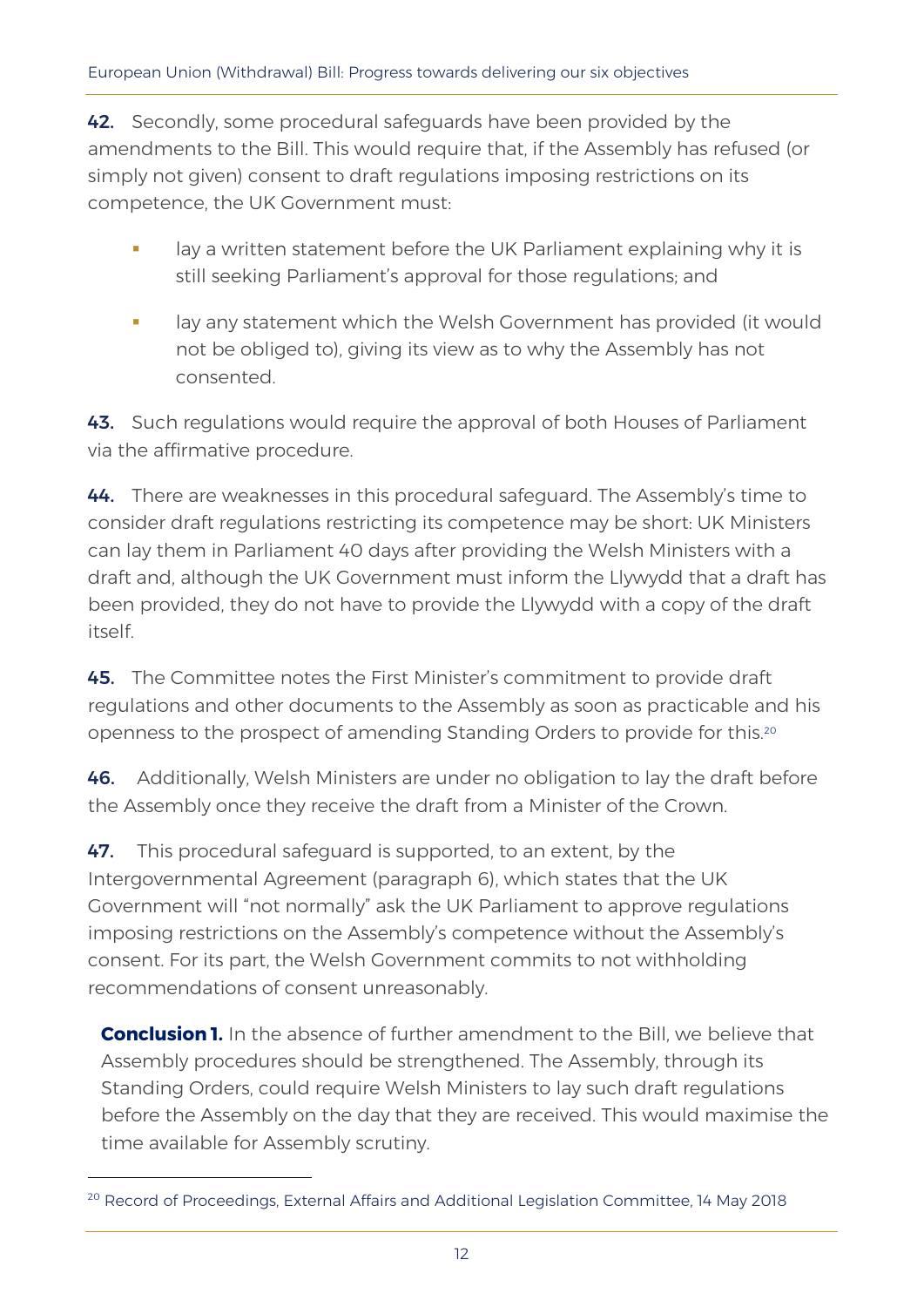42. Secondly, some procedural safeguards have been provided by the amendments to the Bill. This would require that, if the Assembly has refused (or simply not given) consent to draft regulations imposing restrictions on its competence, the UK Government must:

- lay a written statement before the UK Parliament explaining why it is still seeking Parliament's approval for those regulations; and
- lay any statement which the Welsh Government has provided (it would not be obliged to), giving its view as to why the Assembly has not consented.

43. Such regulations would require the approval of both Houses of Parliament via the affirmative procedure.

44. There are weaknesses in this procedural safeguard. The Assembly's time to consider draft regulations restricting its competence may be short: UK Ministers can lay them in Parliament 40 days after providing the Welsh Ministers with a draft and, although the UK Government must inform the Llywydd that a draft has been provided, they do not have to provide the Llywydd with a copy of the draft itself.

45. The Committee notes the First Minister's commitment to provide draft regulations and other documents to the Assembly as soon as practicable and his openness to the prospect of amending Standing Orders to provide for this.<sup>20</sup>

46. Additionally, Welsh Ministers are under no obligation to lay the draft before the Assembly once they receive the draft from a Minister of the Crown.

47. This procedural safeguard is supported, to an extent, by the Intergovernmental Agreement (paragraph 6), which states that the UK Government will "not normally" ask the UK Parliament to approve regulations imposing restrictions on the Assembly's competence without the Assembly's consent. For its part, the Welsh Government commits to not withholding recommendations of consent unreasonably.

**Conclusion 1.** In the absence of further amendment to the Bill, we believe that Assembly procedures should be strengthened. The Assembly, through its Standing Orders, could require Welsh Ministers to lay such draft regulations before the Assembly on the day that they are received. This would maximise the time available for Assembly scrutiny.

<sup>&</sup>lt;sup>20</sup> Record of Proceedings, External Affairs and Additional Legislation Committee, 14 May 2018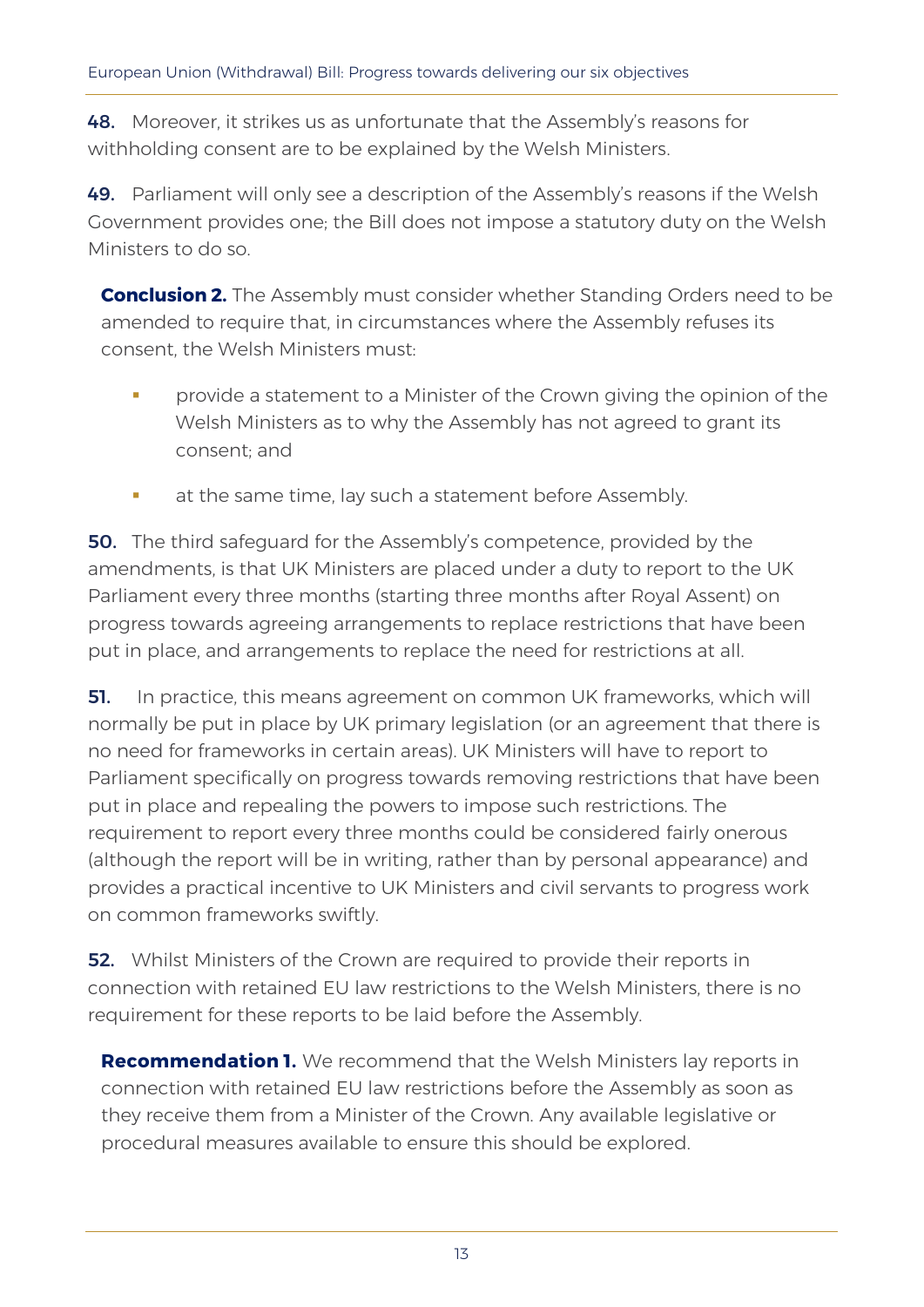48. Moreover, it strikes us as unfortunate that the Assembly's reasons for withholding consent are to be explained by the Welsh Ministers.

49. Parliament will only see a description of the Assembly's reasons if the Welsh Government provides one; the Bill does not impose a statutory duty on the Welsh Ministers to do so.

**Conclusion 2.** The Assembly must consider whether Standing Orders need to be amended to require that, in circumstances where the Assembly refuses its consent, the Welsh Ministers must:

- **•** provide a statement to a Minister of the Crown giving the opinion of the Welsh Ministers as to why the Assembly has not agreed to grant its consent; and
- at the same time, lay such a statement before Assembly.

**50.** The third safeguard for the Assembly's competence, provided by the amendments, is that UK Ministers are placed under a duty to report to the UK Parliament every three months (starting three months after Royal Assent) on progress towards agreeing arrangements to replace restrictions that have been put in place, and arrangements to replace the need for restrictions at all.

**51.** In practice, this means agreement on common UK frameworks, which will normally be put in place by UK primary legislation (or an agreement that there is no need for frameworks in certain areas). UK Ministers will have to report to Parliament specifically on progress towards removing restrictions that have been put in place and repealing the powers to impose such restrictions. The requirement to report every three months could be considered fairly onerous (although the report will be in writing, rather than by personal appearance) and provides a practical incentive to UK Ministers and civil servants to progress work on common frameworks swiftly.

52. Whilst Ministers of the Crown are required to provide their reports in connection with retained EU law restrictions to the Welsh Ministers, there is no requirement for these reports to be laid before the Assembly.

**Recommendation 1.** We recommend that the Welsh Ministers lay reports in connection with retained EU law restrictions before the Assembly as soon as they receive them from a Minister of the Crown. Any available legislative or procedural measures available to ensure this should be explored.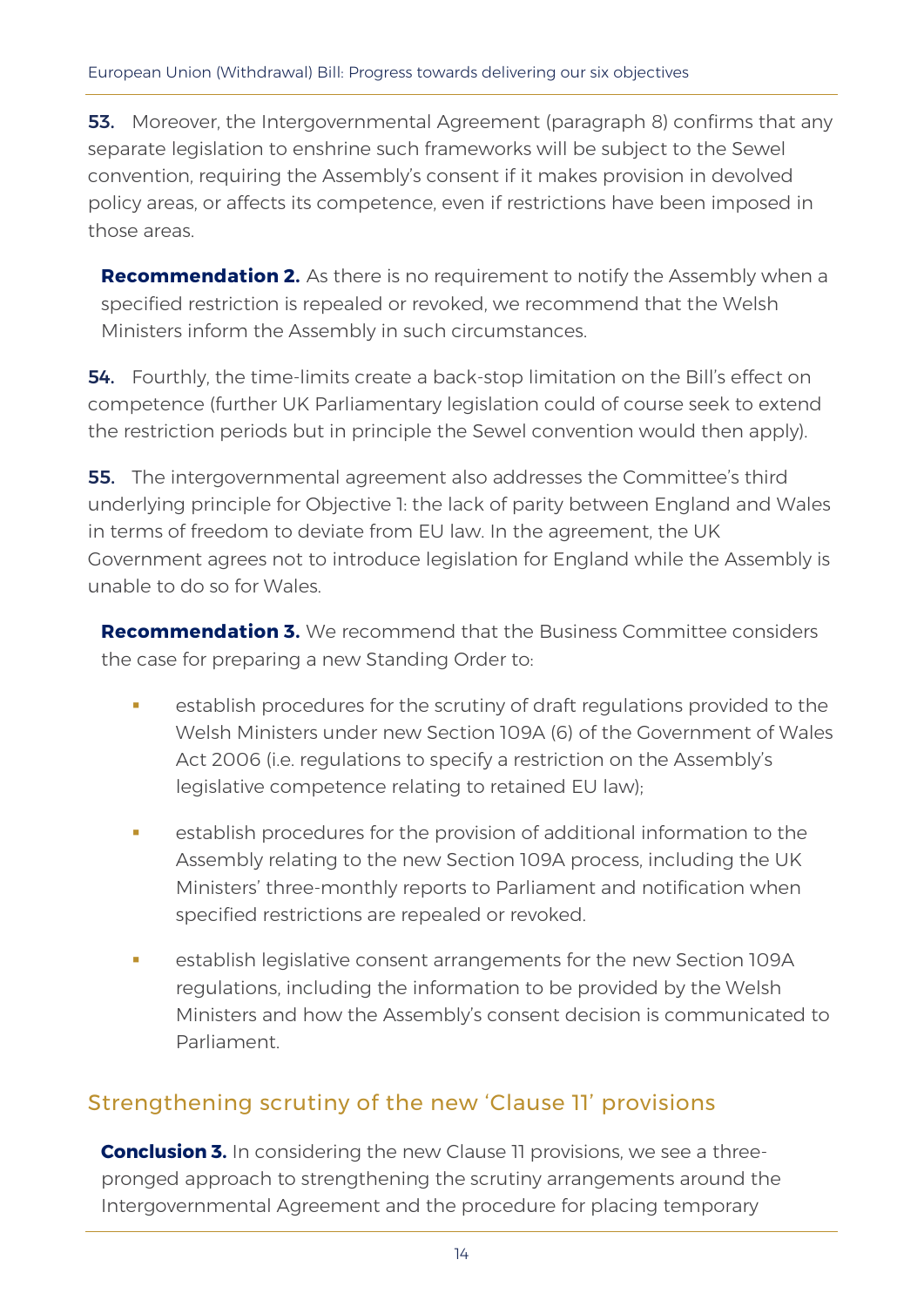**53.** Moreover, the Intergovernmental Agreement (paragraph 8) confirms that any separate legislation to enshrine such frameworks will be subject to the Sewel convention, requiring the Assembly's consent if it makes provision in devolved policy areas, or affects its competence, even if restrictions have been imposed in those areas.

**Recommendation 2.** As there is no requirement to notify the Assembly when a specified restriction is repealed or revoked, we recommend that the Welsh Ministers inform the Assembly in such circumstances.

**54.** Fourthly, the time-limits create a back-stop limitation on the Bill's effect on competence (further UK Parliamentary legislation could of course seek to extend the restriction periods but in principle the Sewel convention would then apply).

**55.** The intergovernmental agreement also addresses the Committee's third underlying principle for Objective 1: the lack of parity between England and Wales in terms of freedom to deviate from EU law. In the agreement, the UK Government agrees not to introduce legislation for England while the Assembly is unable to do so for Wales.

**Recommendation 3.** We recommend that the Business Committee considers the case for preparing a new Standing Order to:

- establish procedures for the scrutiny of draft regulations provided to the Welsh Ministers under new Section 109A (6) of the Government of Wales Act 2006 (i.e. regulations to specify a restriction on the Assembly's legislative competence relating to retained EU law);
- establish procedures for the provision of additional information to the Assembly relating to the new Section 109A process, including the UK Ministers' three-monthly reports to Parliament and notification when specified restrictions are repealed or revoked.
- establish legislative consent arrangements for the new Section 109A regulations, including the information to be provided by the Welsh Ministers and how the Assembly's consent decision is communicated to Parliament.

#### Strengthening scrutiny of the new 'Clause 11' provisions

**Conclusion 3.** In considering the new Clause 11 provisions, we see a threepronged approach to strengthening the scrutiny arrangements around the Intergovernmental Agreement and the procedure for placing temporary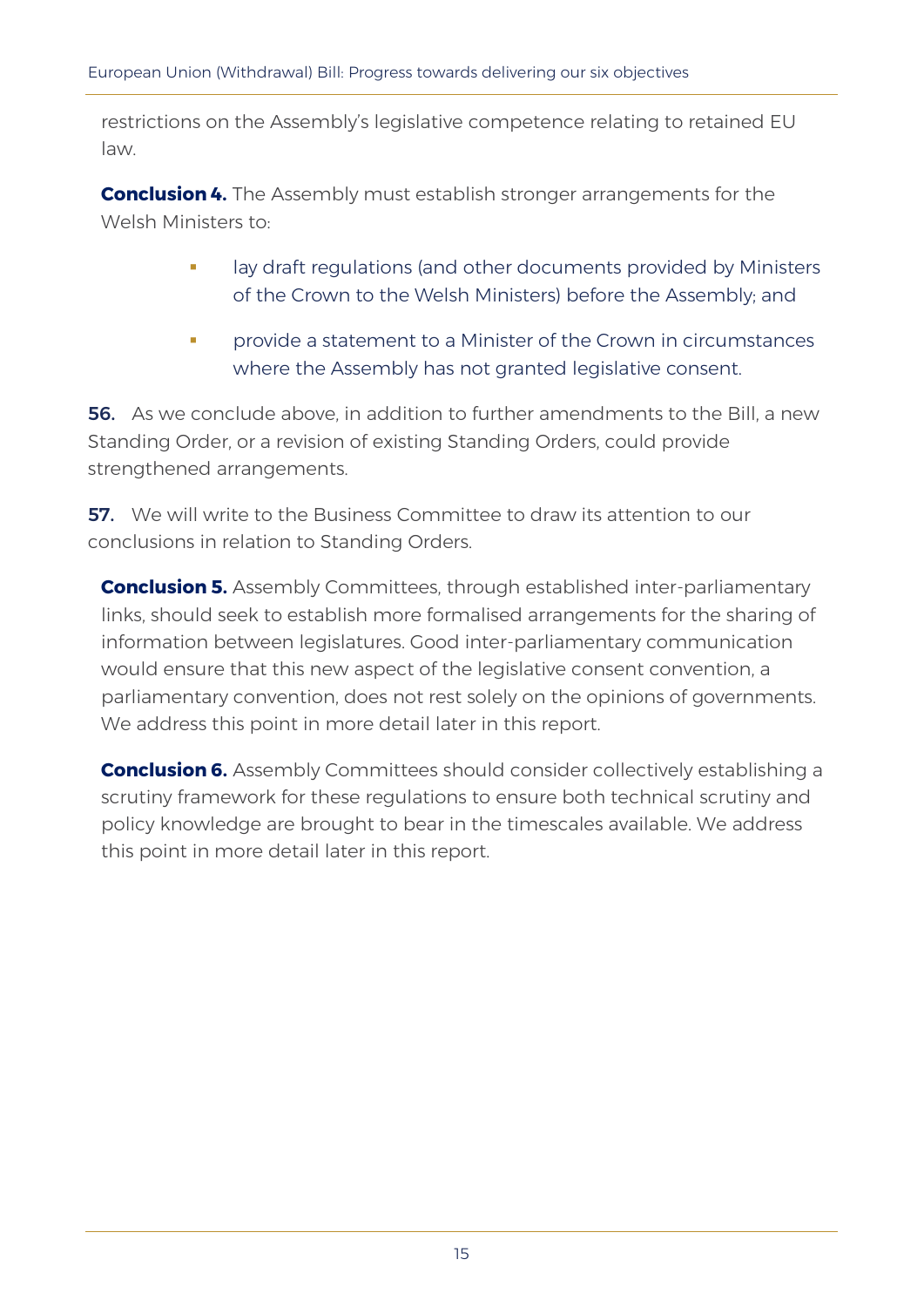restrictions on the Assembly's legislative competence relating to retained EU law.

**Conclusion 4.** The Assembly must establish stronger arrangements for the Welsh Ministers to:

- lay draft regulations (and other documents provided by Ministers of the Crown to the Welsh Ministers) before the Assembly; and
- **•** provide a statement to a Minister of the Crown in circumstances where the Assembly has not granted legislative consent.

**56.** As we conclude above, in addition to further amendments to the Bill, a new Standing Order, or a revision of existing Standing Orders, could provide strengthened arrangements.

**57.** We will write to the Business Committee to draw its attention to our conclusions in relation to Standing Orders.

**Conclusion 5.** Assembly Committees, through established inter-parliamentary links, should seek to establish more formalised arrangements for the sharing of information between legislatures. Good inter-parliamentary communication would ensure that this new aspect of the legislative consent convention, a parliamentary convention, does not rest solely on the opinions of governments. We address this point in more detail later in this report.

**Conclusion 6.** Assembly Committees should consider collectively establishing a scrutiny framework for these regulations to ensure both technical scrutiny and policy knowledge are brought to bear in the timescales available. We address this point in more detail later in this report.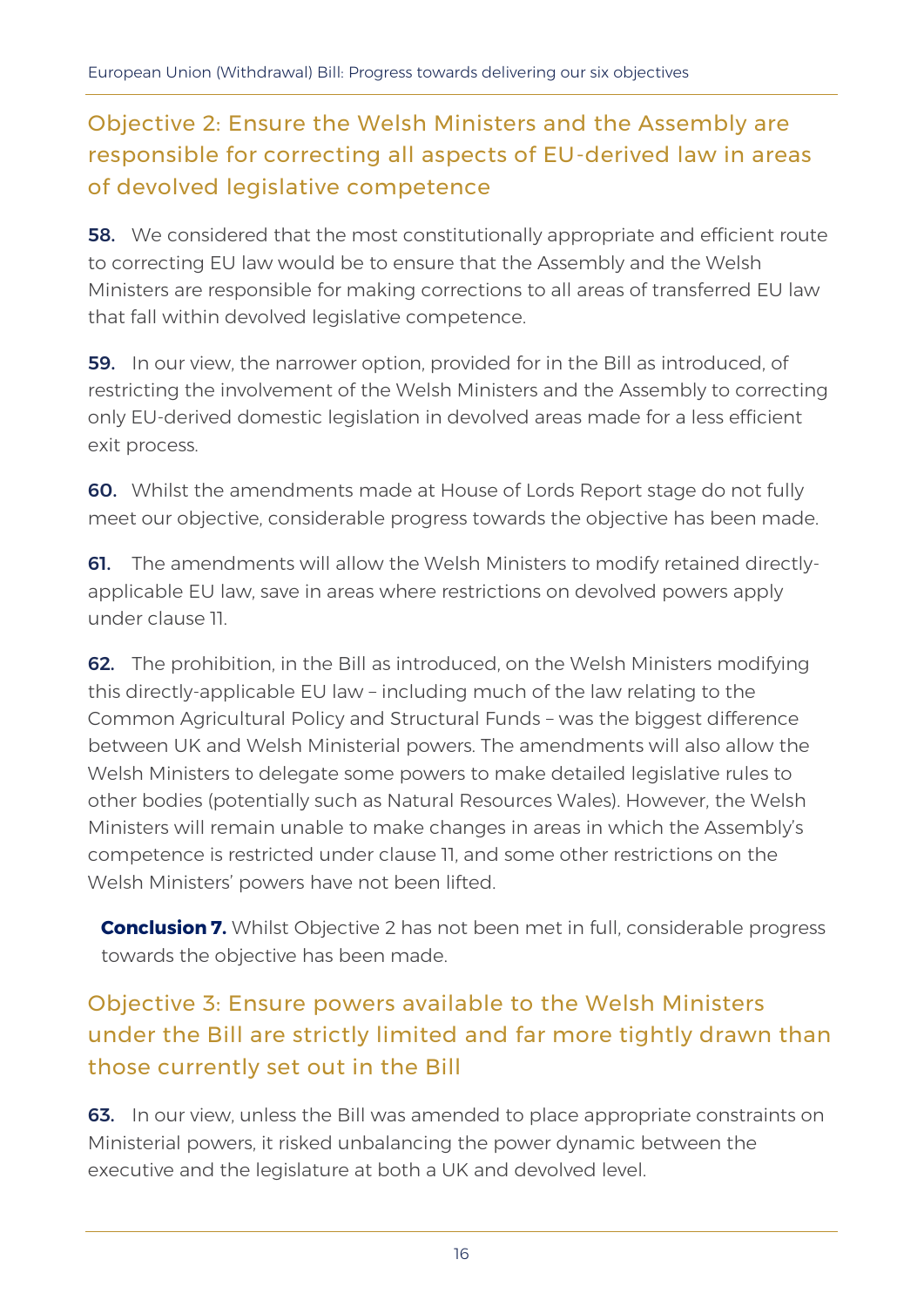### Objective 2: Ensure the Welsh Ministers and the Assembly are responsible for correcting all aspects of EU-derived law in areas of devolved legislative competence

**58.** We considered that the most constitutionally appropriate and efficient route to correcting EU law would be to ensure that the Assembly and the Welsh Ministers are responsible for making corrections to all areas of transferred EU law that fall within devolved legislative competence.

59. In our view, the narrower option, provided for in the Bill as introduced, of restricting the involvement of the Welsh Ministers and the Assembly to correcting only EU-derived domestic legislation in devolved areas made for a less efficient exit process.

60. Whilst the amendments made at House of Lords Report stage do not fully meet our objective, considerable progress towards the objective has been made.

61. The amendments will allow the Welsh Ministers to modify retained directlyapplicable EU law, save in areas where restrictions on devolved powers apply under clause 11.

62. The prohibition, in the Bill as introduced, on the Welsh Ministers modifying this directly-applicable EU law – including much of the law relating to the Common Agricultural Policy and Structural Funds – was the biggest difference between UK and Welsh Ministerial powers. The amendments will also allow the Welsh Ministers to delegate some powers to make detailed legislative rules to other bodies (potentially such as Natural Resources Wales). However, the Welsh Ministers will remain unable to make changes in areas in which the Assembly's competence is restricted under clause 11, and some other restrictions on the Welsh Ministers' powers have not been lifted.

**Conclusion 7.** Whilst Objective 2 has not been met in full, considerable progress towards the objective has been made.

# Objective 3: Ensure powers available to the Welsh Ministers under the Bill are strictly limited and far more tightly drawn than those currently set out in the Bill

63. In our view, unless the Bill was amended to place appropriate constraints on Ministerial powers, it risked unbalancing the power dynamic between the executive and the legislature at both a UK and devolved level.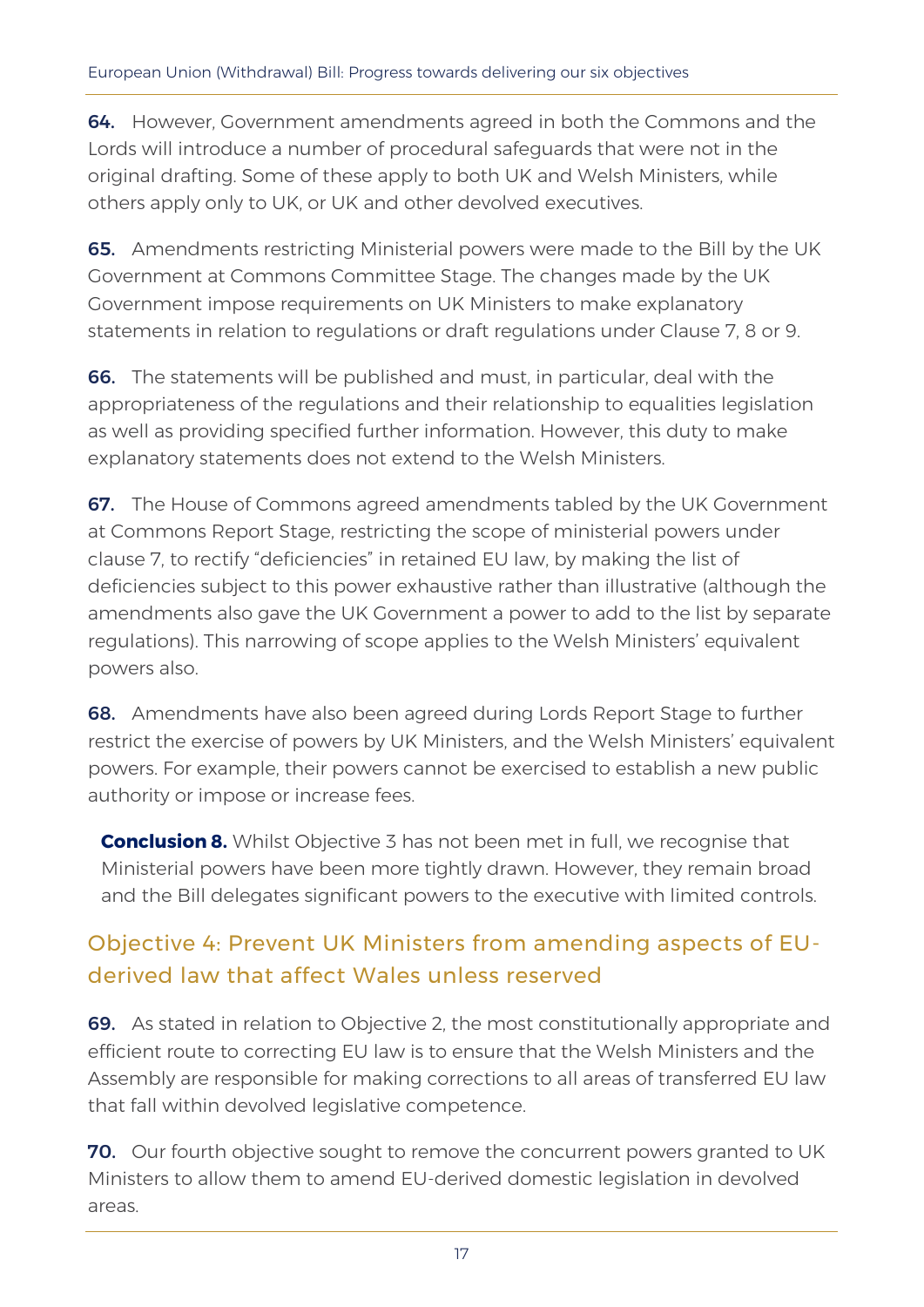64. However, Government amendments agreed in both the Commons and the Lords will introduce a number of procedural safeguards that were not in the original drafting. Some of these apply to both UK and Welsh Ministers, while others apply only to UK, or UK and other devolved executives.

65. Amendments restricting Ministerial powers were made to the Bill by the UK Government at Commons Committee Stage. The changes made by the UK Government impose requirements on UK Ministers to make explanatory statements in relation to regulations or draft regulations under Clause 7, 8 or 9.

66. The statements will be published and must, in particular, deal with the appropriateness of the regulations and their relationship to equalities legislation as well as providing specified further information. However, this duty to make explanatory statements does not extend to the Welsh Ministers.

**67.** The House of Commons agreed amendments tabled by the UK Government at Commons Report Stage, restricting the scope of ministerial powers under clause 7, to rectify "deficiencies" in retained EU law, by making the list of deficiencies subject to this power exhaustive rather than illustrative (although the amendments also gave the UK Government a power to add to the list by separate regulations). This narrowing of scope applies to the Welsh Ministers' equivalent powers also.

68. Amendments have also been agreed during Lords Report Stage to further restrict the exercise of powers by UK Ministers, and the Welsh Ministers' equivalent powers. For example, their powers cannot be exercised to establish a new public authority or impose or increase fees.

**Conclusion 8.** Whilst Objective 3 has not been met in full, we recognise that Ministerial powers have been more tightly drawn. However, they remain broad and the Bill delegates significant powers to the executive with limited controls.

### Objective 4: Prevent UK Ministers from amending aspects of EUderived law that affect Wales unless reserved

69. As stated in relation to Objective 2, the most constitutionally appropriate and efficient route to correcting EU law is to ensure that the Welsh Ministers and the Assembly are responsible for making corrections to all areas of transferred EU law that fall within devolved legislative competence.

70. Our fourth objective sought to remove the concurrent powers granted to UK Ministers to allow them to amend EU-derived domestic legislation in devolved areas.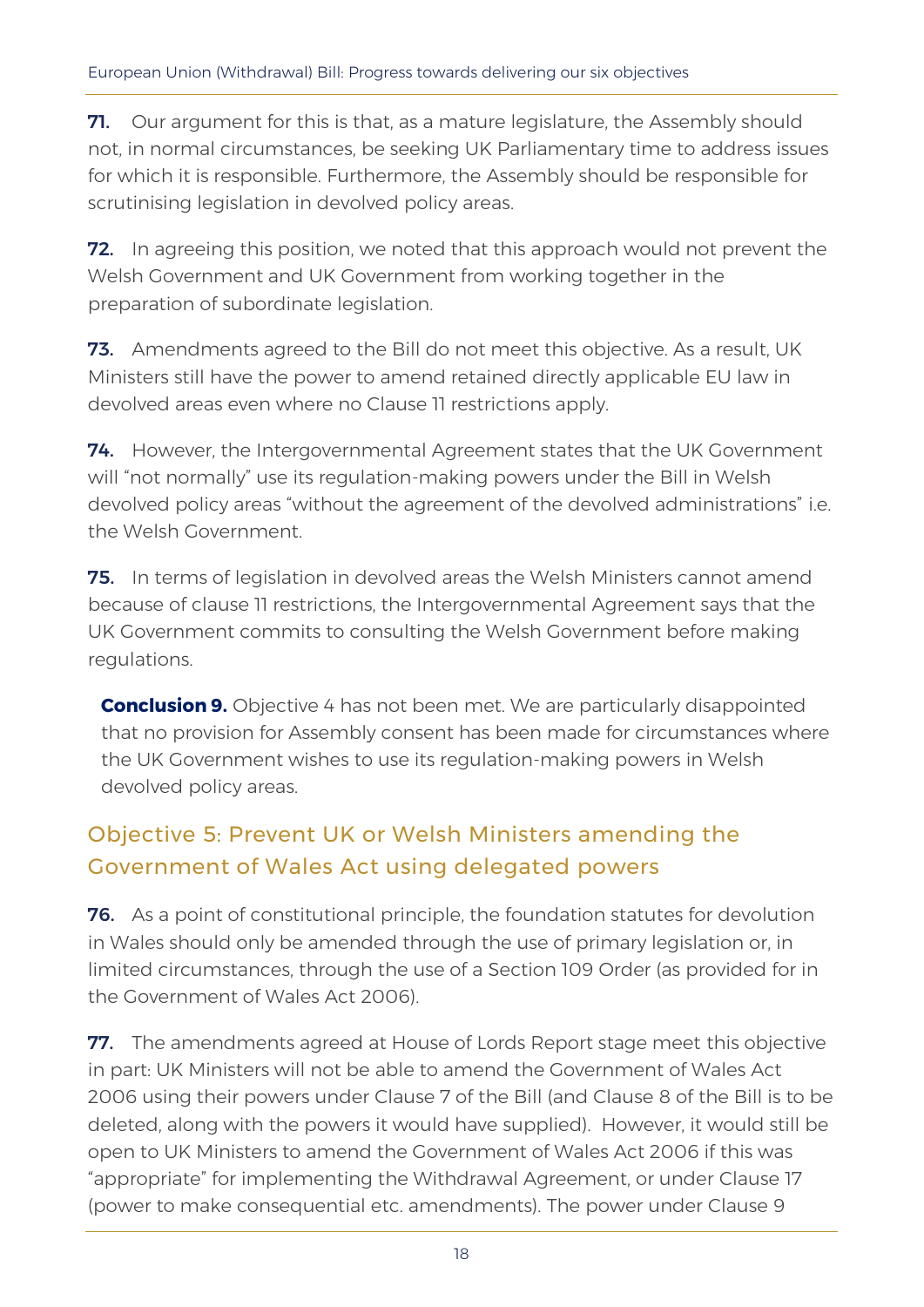**71.** Our argument for this is that, as a mature legislature, the Assembly should not, in normal circumstances, be seeking UK Parliamentary time to address issues for which it is responsible. Furthermore, the Assembly should be responsible for scrutinising legislation in devolved policy areas.

**72.** In agreeing this position, we noted that this approach would not prevent the Welsh Government and UK Government from working together in the preparation of subordinate legislation.

73. Amendments agreed to the Bill do not meet this objective. As a result, UK Ministers still have the power to amend retained directly applicable EU law in devolved areas even where no Clause 11 restrictions apply.

74. However, the Intergovernmental Agreement states that the UK Government will "not normally" use its regulation-making powers under the Bill in Welsh devolved policy areas "without the agreement of the devolved administrations" i.e. the Welsh Government.

**75.** In terms of legislation in devolved areas the Welsh Ministers cannot amend because of clause 11 restrictions, the Intergovernmental Agreement says that the UK Government commits to consulting the Welsh Government before making regulations.

**Conclusion 9.** Objective 4 has not been met. We are particularly disappointed that no provision for Assembly consent has been made for circumstances where the UK Government wishes to use its regulation-making powers in Welsh devolved policy areas.

### Objective 5: Prevent UK or Welsh Ministers amending the Government of Wales Act using delegated powers

**76.** As a point of constitutional principle, the foundation statutes for devolution in Wales should only be amended through the use of primary legislation or, in limited circumstances, through the use of a Section 109 Order (as provided for in the Government of Wales Act 2006).

77. The amendments agreed at House of Lords Report stage meet this objective in part: UK Ministers will not be able to amend the Government of Wales Act 2006 using their powers under Clause 7 of the Bill (and Clause 8 of the Bill is to be deleted, along with the powers it would have supplied). However, it would still be open to UK Ministers to amend the Government of Wales Act 2006 if this was "appropriate" for implementing the Withdrawal Agreement, or under Clause 17 (power to make consequential etc. amendments). The power under Clause 9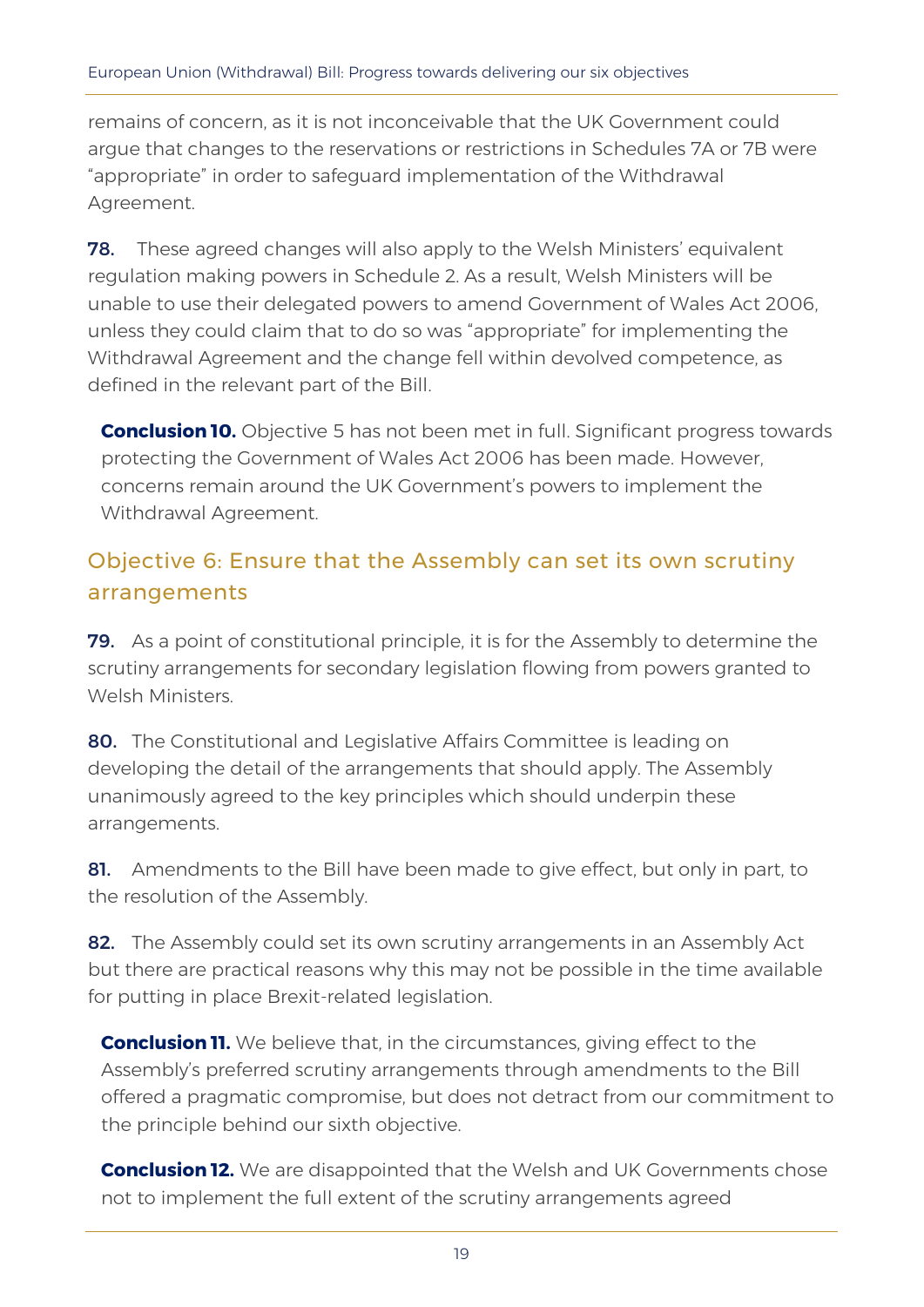remains of concern, as it is not inconceivable that the UK Government could argue that changes to the reservations or restrictions in Schedules 7A or 7B were "appropriate" in order to safeguard implementation of the Withdrawal Agreement.

**78.** These agreed changes will also apply to the Welsh Ministers' equivalent regulation making powers in Schedule 2. As a result, Welsh Ministers will be unable to use their delegated powers to amend Government of Wales Act 2006, unless they could claim that to do so was "appropriate" for implementing the Withdrawal Agreement and the change fell within devolved competence, as defined in the relevant part of the Bill.

**Conclusion 10.** Objective 5 has not been met in full. Significant progress towards protecting the Government of Wales Act 2006 has been made. However, concerns remain around the UK Government's powers to implement the Withdrawal Agreement.

### Objective 6: Ensure that the Assembly can set its own scrutiny arrangements

79. As a point of constitutional principle, it is for the Assembly to determine the scrutiny arrangements for secondary legislation flowing from powers granted to Welsh Ministers.

80. The Constitutional and Legislative Affairs Committee is leading on developing the detail of the arrangements that should apply. The Assembly unanimously agreed to the key principles which should underpin these arrangements.

81. Amendments to the Bill have been made to give effect, but only in part, to the resolution of the Assembly.

82. The Assembly could set its own scrutiny arrangements in an Assembly Act but there are practical reasons why this may not be possible in the time available for putting in place Brexit-related legislation.

**Conclusion 11.** We believe that, in the circumstances, giving effect to the Assembly's preferred scrutiny arrangements through amendments to the Bill offered a pragmatic compromise, but does not detract from our commitment to the principle behind our sixth objective.

**Conclusion 12.** We are disappointed that the Welsh and UK Governments chose not to implement the full extent of the scrutiny arrangements agreed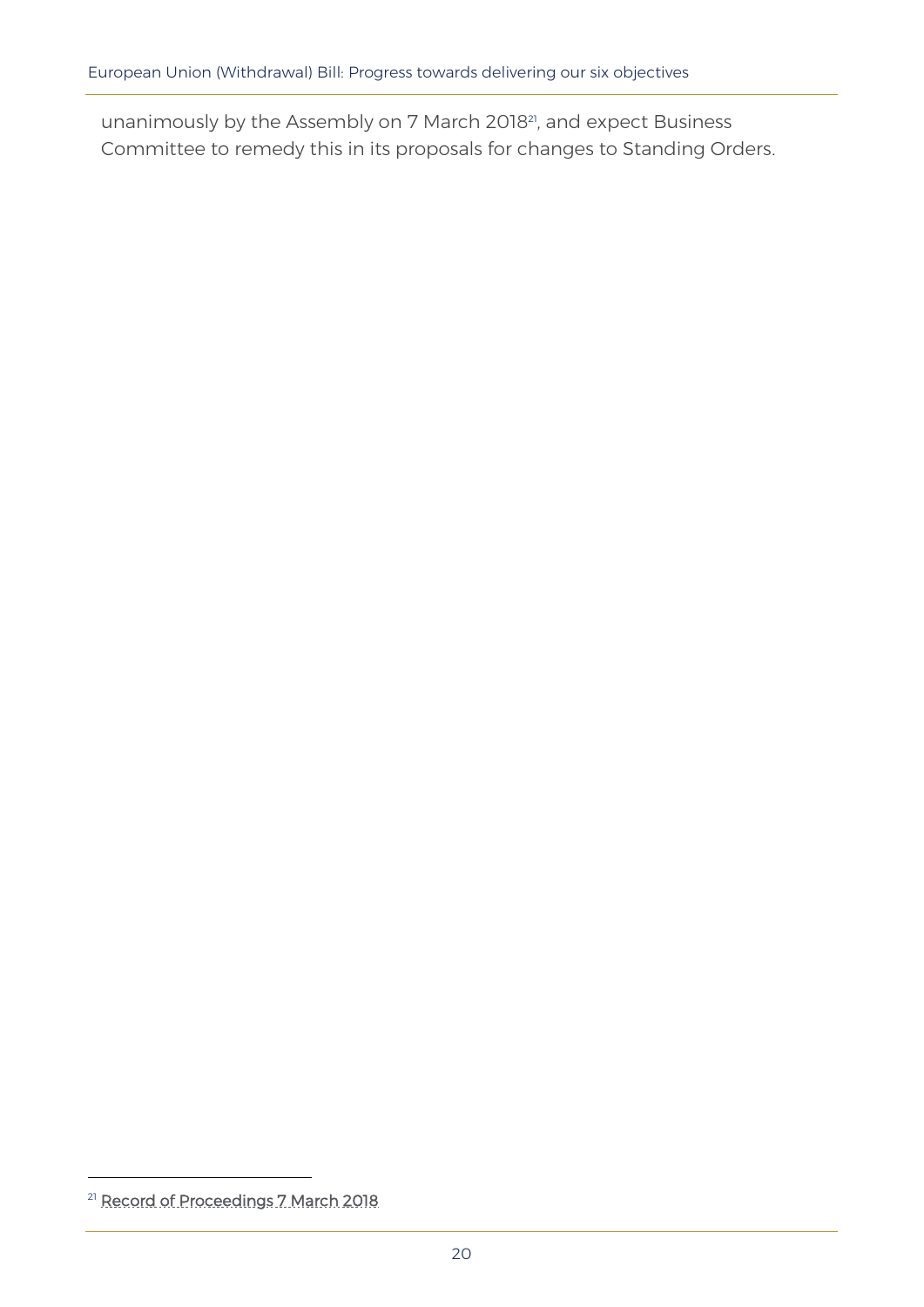unanimously by the Assembly on 7 March 201821, and expect Business Committee to remedy this in its proposals for changes to Standing Orders.

<sup>&</sup>lt;sup>21</sup> [Record of Proceedings 7 March 2018](http://record.assembly.wales/Plenary/4911)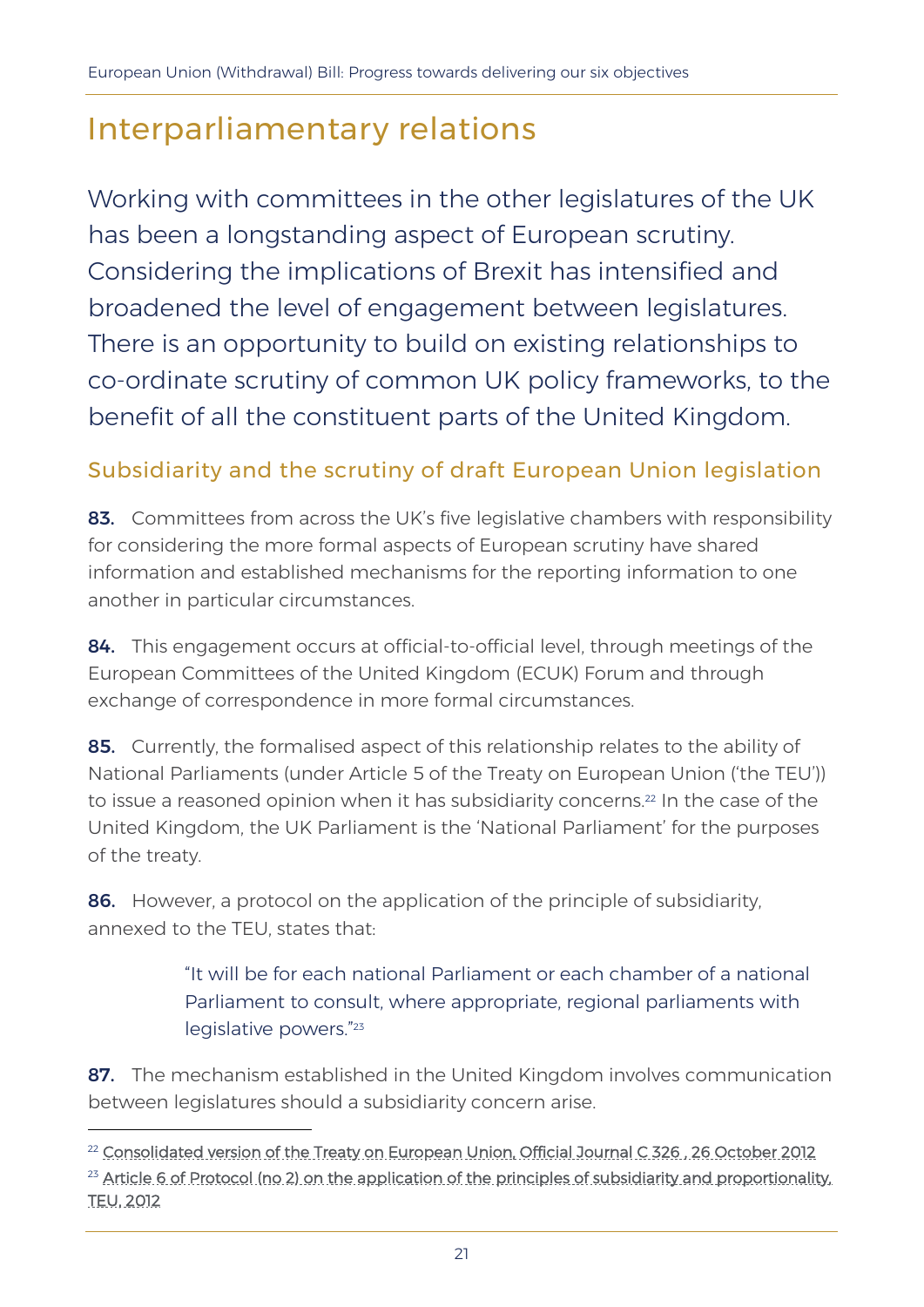# Interparliamentary relations

Working with committees in the other legislatures of the UK has been a longstanding aspect of European scrutiny. Considering the implications of Brexit has intensified and broadened the level of engagement between legislatures. There is an opportunity to build on existing relationships to co-ordinate scrutiny of common UK policy frameworks, to the benefit of all the constituent parts of the United Kingdom.

### Subsidiarity and the scrutiny of draft European Union legislation

83. Committees from across the UK's five legislative chambers with responsibility for considering the more formal aspects of European scrutiny have shared information and established mechanisms for the reporting information to one another in particular circumstances.

84. This engagement occurs at official-to-official level, through meetings of the European Committees of the United Kingdom (ECUK) Forum and through exchange of correspondence in more formal circumstances.

85. Currently, the formalised aspect of this relationship relates to the ability of National Parliaments (under Article 5 of the Treaty on European Union ('the TEU')) to issue a reasoned opinion when it has subsidiarity concerns.<sup>22</sup> In the case of the United Kingdom, the UK Parliament is the 'National Parliament' for the purposes of the treaty.

86. However, a protocol on the application of the principle of subsidiarity, annexed to the TEU, states that:

> "It will be for each national Parliament or each chamber of a national Parliament to consult, where appropriate, regional parliaments with legislative powers."<sup>23</sup>

87. The mechanism established in the United Kingdom involves communication between legislatures should a subsidiarity concern arise.

<sup>&</sup>lt;sup>22</sup> Consolidated version of the Treaty on European Union, Official Journal C 326, 26 October 2012 <sup>23</sup> Article 6 of Protocol (no 2) on the application of the principles of subsidiarity and proportionality, [TEU, 2012](https://eur-lex.europa.eu/legal-content/EN/TXT/?uri=celex%3A12012M%2FTXT)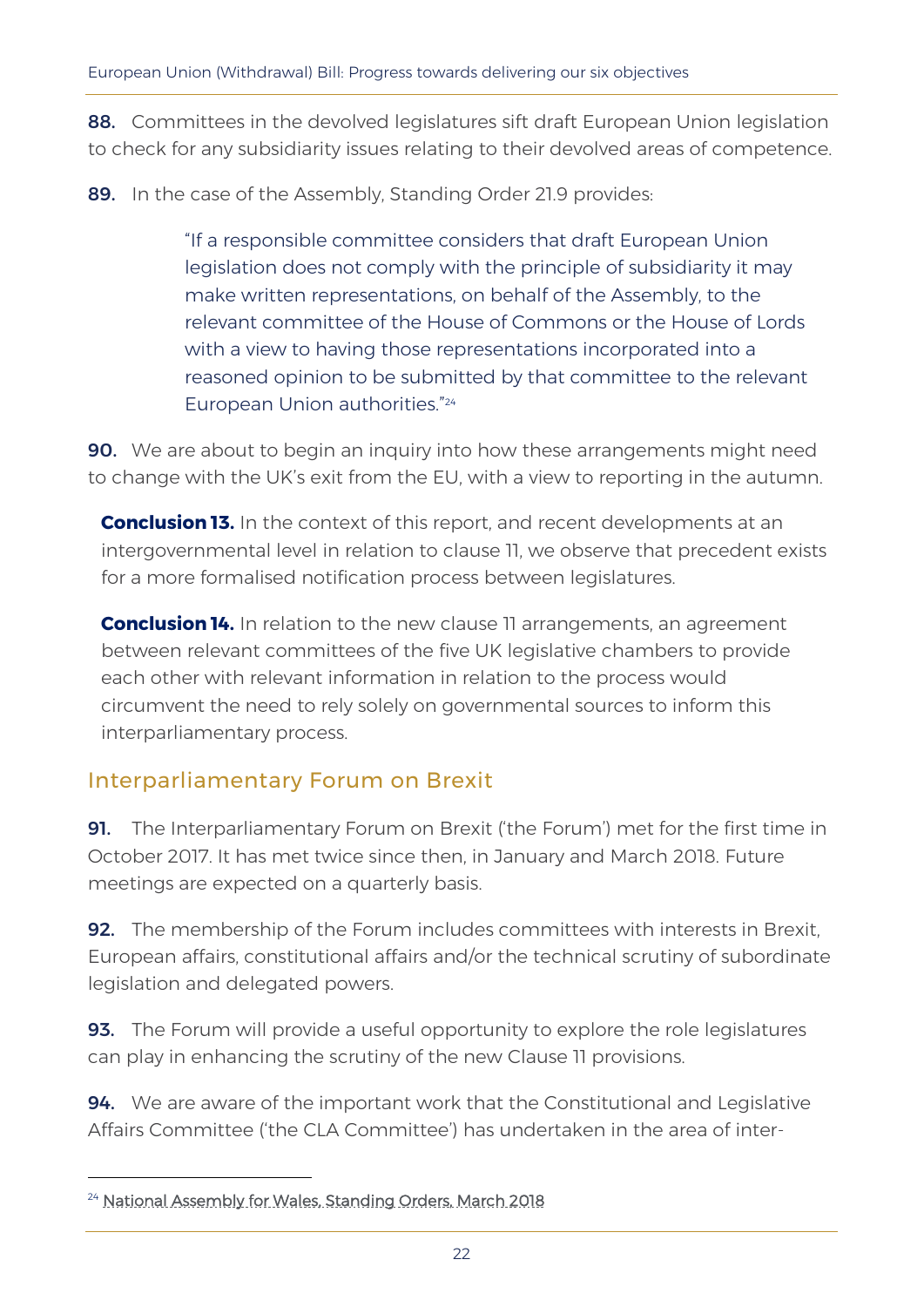88. Committees in the devolved legislatures sift draft European Union legislation to check for any subsidiarity issues relating to their devolved areas of competence.

89. In the case of the Assembly, Standing Order 21.9 provides:

"If a responsible committee considers that draft European Union legislation does not comply with the principle of subsidiarity it may make written representations, on behalf of the Assembly, to the relevant committee of the House of Commons or the House of Lords with a view to having those representations incorporated into a reasoned opinion to be submitted by that committee to the relevant European Union authorities." 24

**90.** We are about to begin an inquiry into how these arrangements might need to change with the UK's exit from the EU, with a view to reporting in the autumn.

**Conclusion 13.** In the context of this report, and recent developments at an intergovernmental level in relation to clause 11, we observe that precedent exists for a more formalised notification process between legislatures.

**Conclusion 14.** In relation to the new clause 11 arrangements, an agreement between relevant committees of the five UK legislative chambers to provide each other with relevant information in relation to the process would circumvent the need to rely solely on governmental sources to inform this interparliamentary process.

### Interparliamentary Forum on Brexit

91. The Interparliamentary Forum on Brexit ('the Forum') met for the first time in October 2017. It has met twice since then, in January and March 2018. Future meetings are expected on a quarterly basis.

**92.** The membership of the Forum includes committees with interests in Brexit, European affairs, constitutional affairs and/or the technical scrutiny of subordinate legislation and delegated powers.

**93.** The Forum will provide a useful opportunity to explore the role legislatures can play in enhancing the scrutiny of the new Clause 11 provisions.

**94.** We are aware of the important work that the Constitutional and Legislative Affairs Committee ('the CLA Committee') has undertaken in the area of inter-

<sup>&</sup>lt;sup>24</sup> [National Assembly for Wales, Standing Orders, March 2018](http://www.assembly.wales/NAfW%20Documents/Assembly%20Business%20section%20documents/Standing_Orders/Clean_SOs.eng.pdf)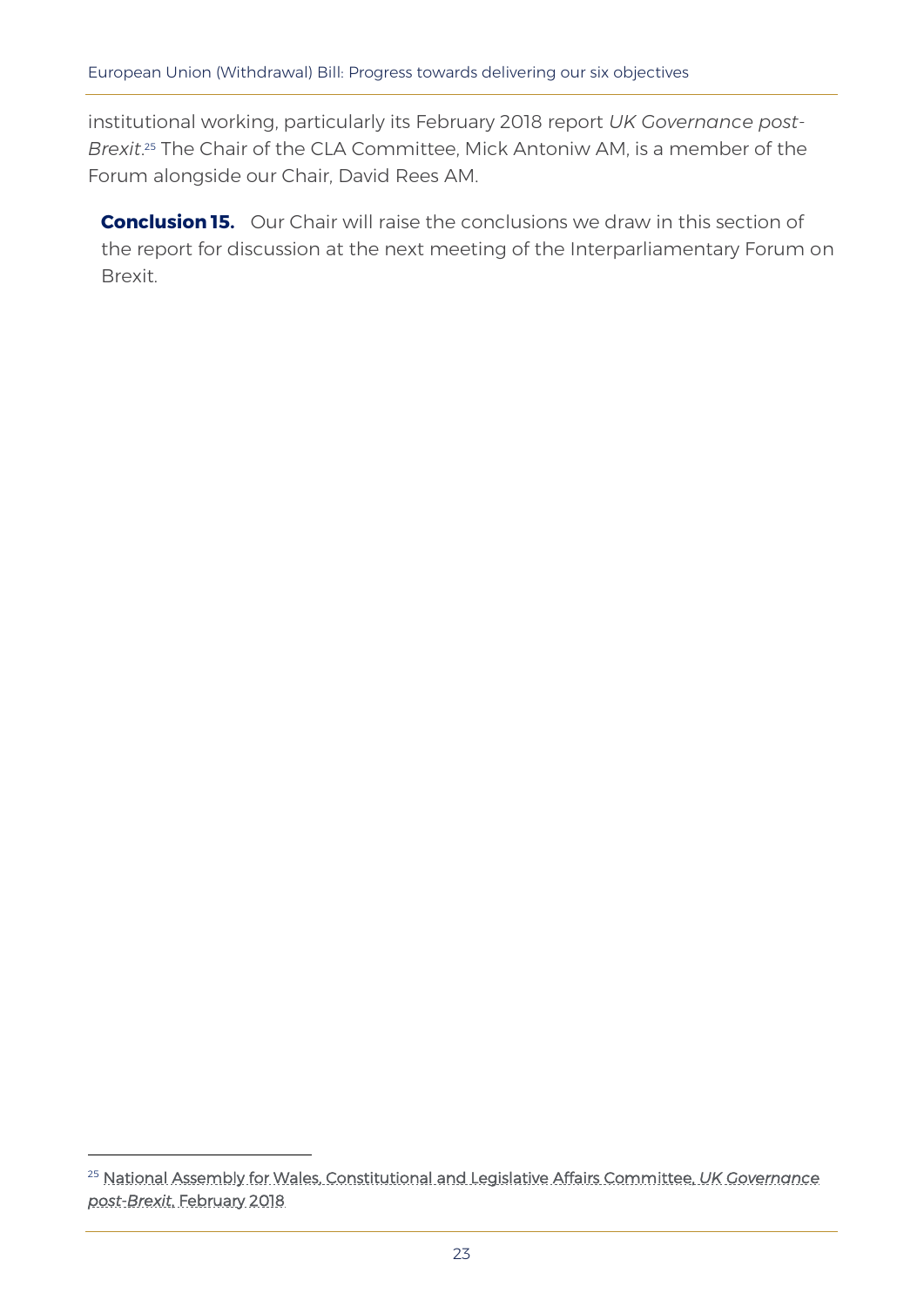institutional working, particularly its February 2018 report *UK Governance post-Brexit*. <sup>25</sup> The Chair of the CLA Committee, Mick Antoniw AM, is a member of the Forum alongside our Chair, David Rees AM.

**Conclusion 15.** Our Chair will raise the conclusions we draw in this section of the report for discussion at the next meeting of the Interparliamentary Forum on Brexit.

<sup>25</sup> [National Assembly for Wales, Constitutional and Legislative Affairs Committee,](http://www.assembly.wales/laid%20documents/cr-ld11405/cr-ld11405-e.pdf) *UK Governance post-Brexit*[, February 2018](http://www.assembly.wales/laid%20documents/cr-ld11405/cr-ld11405-e.pdf)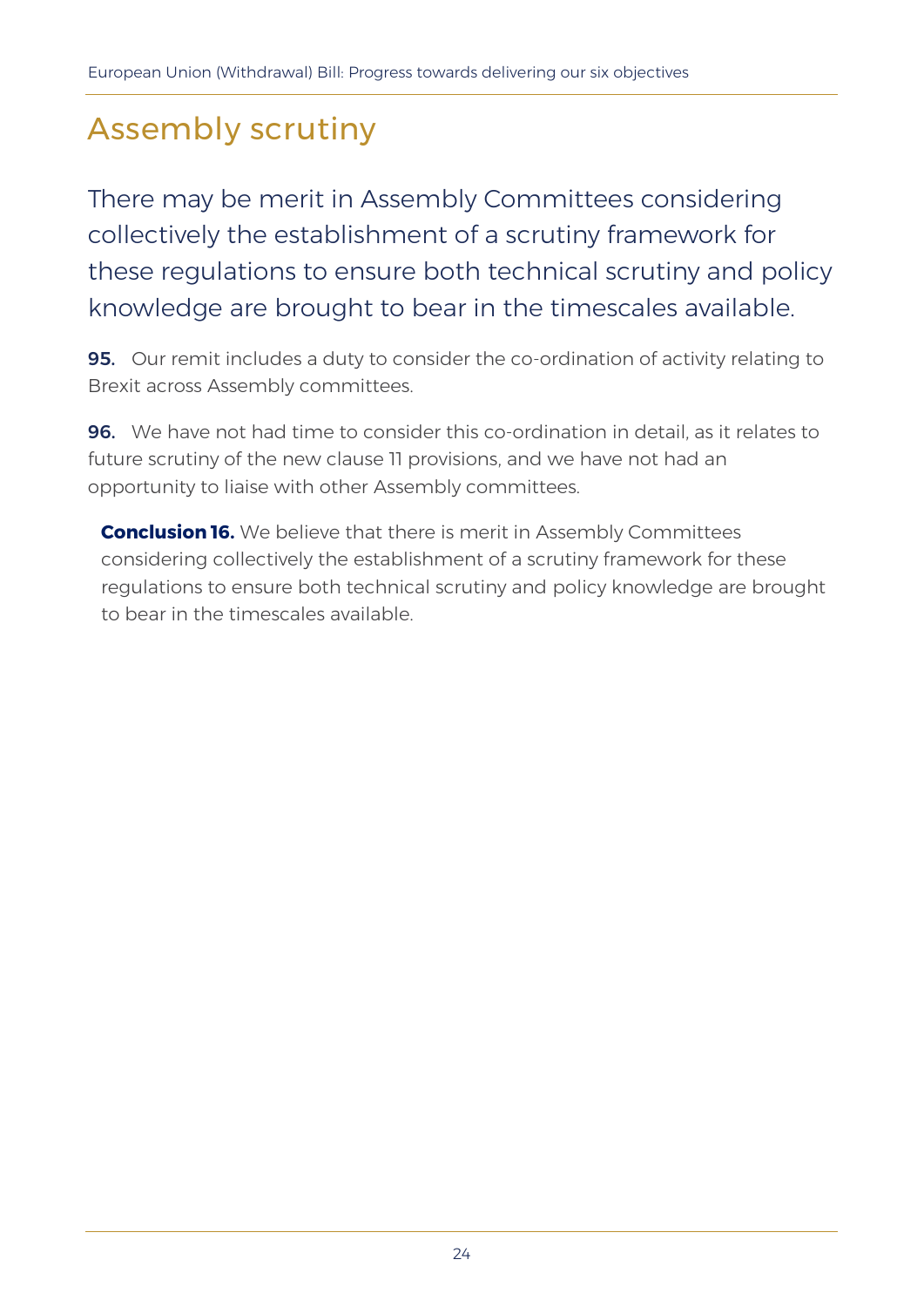# Assembly scrutiny

There may be merit in Assembly Committees considering collectively the establishment of a scrutiny framework for these regulations to ensure both technical scrutiny and policy knowledge are brought to bear in the timescales available.

**95.** Our remit includes a duty to consider the co-ordination of activity relating to Brexit across Assembly committees.

96. We have not had time to consider this co-ordination in detail, as it relates to future scrutiny of the new clause 11 provisions, and we have not had an opportunity to liaise with other Assembly committees.

**Conclusion 16.** We believe that there is merit in Assembly Committees considering collectively the establishment of a scrutiny framework for these regulations to ensure both technical scrutiny and policy knowledge are brought to bear in the timescales available.